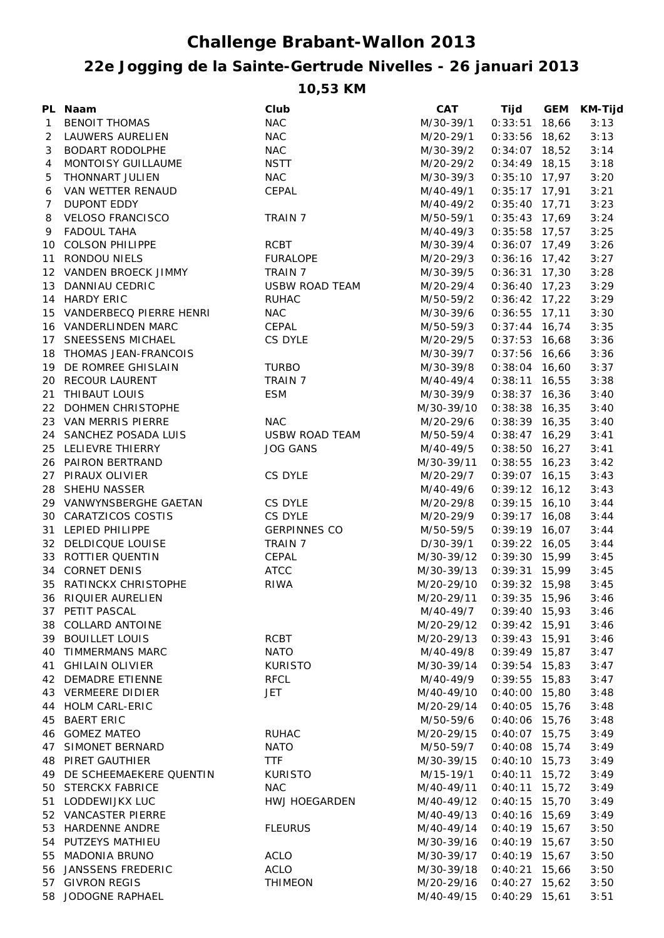## **Challenge Brabant-Wallon 2013**

## **22e Jogging de la Sainte-Gertrude Nivelles - 26 januari 2013**

**10,53 KM**

|              | PL Naam                    | Club                  | CAT        | Tijd            | <b>GEM</b> | <b>KM-Tijd</b> |
|--------------|----------------------------|-----------------------|------------|-----------------|------------|----------------|
| $\mathbf{1}$ | <b>BENOIT THOMAS</b>       | <b>NAC</b>            | M/30-39/1  | $0:33:51$ 18,66 |            | 3:13           |
| 2            | LAUWERS AURELIEN           | <b>NAC</b>            | M/20-29/1  | $0:33:56$ 18,62 |            | 3:13           |
| 3            | BODART RODOLPHE            | <b>NAC</b>            | M/30-39/2  | $0:34:07$ 18,52 |            | 3:14           |
| 4            | MONTOISY GUILLAUME         | <b>NSTT</b>           | M/20-29/2  | $0:34:49$ 18,15 |            | 3:18           |
| 5            | THONNART JULIEN            | <b>NAC</b>            | M/30-39/3  | $0:35:10$ 17,97 |            | 3:20           |
| 6            | VAN WETTER RENAUD          | CEPAL                 | M/40-49/1  | $0:35:17$ 17,91 |            | 3:21           |
| 7            | <b>DUPONT EDDY</b>         |                       | M/40-49/2  | $0:35:40$ 17,71 |            | 3:23           |
| 8            | <b>VELOSO FRANCISCO</b>    | TRAIN 7               | M/50-59/1  | $0:35:43$ 17,69 |            | 3:24           |
| 9            | <b>FADOUL TAHA</b>         |                       | M/40-49/3  | $0:35:58$ 17,57 |            | 3:25           |
|              | 10 COLSON PHILIPPE         | <b>RCBT</b>           | M/30-39/4  | $0:36:07$ 17,49 |            | 3:26           |
|              | 11 RONDOU NIELS            | <b>FURALOPE</b>       | M/20-29/3  | $0:36:16$ 17,42 |            | 3:27           |
|              | 12 VANDEN BROECK JIMMY     | TRAIN 7               | M/30-39/5  | $0:36:31$ 17,30 |            | 3:28           |
|              | 13 DANNIAU CEDRIC          | <b>USBW ROAD TEAM</b> | M/20-29/4  | $0:36:40$ 17,23 |            | 3:29           |
|              | 14 HARDY ERIC              | <b>RUHAC</b>          | M/50-59/2  | $0:36:42$ 17,22 |            | 3:29           |
|              | 15 VANDERBECQ PIERRE HENRI | <b>NAC</b>            | M/30-39/6  | $0:36:55$ 17,11 |            | 3:30           |
|              | 16 VANDERLINDEN MARC       | CEPAL                 | M/50-59/3  | $0:37:44$ 16,74 |            | 3:35           |
|              | 17 SNEESSENS MICHAEL       | CS DYLE               | M/20-29/5  | $0:37:53$ 16,68 |            | 3:36           |
|              | 18 THOMAS JEAN-FRANCOIS    |                       | M/30-39/7  | $0:37:56$ 16,66 |            | 3:36           |
|              | 19 DE ROMREE GHISLAIN      | <b>TURBO</b>          | M/30-39/8  | $0:38:04$ 16,60 |            | 3:37           |
|              | 20 RECOUR LAURENT          | TRAIN 7               | M/40-49/4  | $0:38:11$ 16,55 |            | 3:38           |
|              | 21 THIBAUT LOUIS           | <b>ESM</b>            | M/30-39/9  | $0:38:37$ 16,36 |            | 3:40           |
|              | 22 DOHMEN CHRISTOPHE       |                       | M/30-39/10 | $0:38:38$ 16,35 |            | 3:40           |
|              | 23 VAN MERRIS PIERRE       | <b>NAC</b>            | M/20-29/6  | $0:38:39$ 16,35 |            | 3:40           |
|              | 24 SANCHEZ POSADA LUIS     | <b>USBW ROAD TEAM</b> | M/50-59/4  | $0:38:47$ 16,29 |            | 3:41           |
|              | 25 LELIEVRE THIERRY        | <b>JOG GANS</b>       | M/40-49/5  | $0:38:50$ 16,27 |            | 3:41           |
|              | 26 PAIRON BERTRAND         |                       | M/30-39/11 | $0:38:55$ 16,23 |            | 3:42           |
|              | 27 PIRAUX OLIVIER          | CS DYLE               | M/20-29/7  | $0:39:07$ 16,15 |            | 3:43           |
|              | 28 SHEHU NASSER            |                       | M/40-49/6  | $0:39:12$ 16,12 |            | 3:43           |
|              | 29 VANWYNSBERGHE GAETAN    | CS DYLE               | M/20-29/8  | $0:39:15$ 16,10 |            | 3:44           |
|              | 30 CARATZICOS COSTIS       | CS DYLE               | M/20-29/9  | $0:39:17$ 16,08 |            | 3:44           |
|              | 31 LEPIED PHILIPPE         | <b>GERPINNES CO</b>   | M/50-59/5  | $0:39:19$ 16,07 |            | 3:44           |
|              | 32 DELDICQUE LOUISE        | TRAIN 7               | D/30-39/1  | $0:39:22$ 16,05 |            | 3:44           |
|              | 33 ROTTIER QUENTIN         | CEPAL                 | M/30-39/12 | $0:39:30$ 15,99 |            | 3:45           |
|              | 34 CORNET DENIS            | ATCC                  | M/30-39/13 | $0:39:31$ 15,99 |            | 3:45           |
|              | 35 RATINCKX CHRISTOPHE     | <b>RIWA</b>           | M/20-29/10 | $0:39:32$ 15,98 |            | 3:45           |
|              | 36 RIQUIER AURELIEN        |                       | M/20-29/11 | $0:39:35$ 15,96 |            | 3:46           |
|              | 37 PETIT PASCAL            |                       | M/40-49/7  | $0:39:40$ 15,93 |            | 3:46           |
|              | 38 COLLARD ANTOINE         |                       | M/20-29/12 | $0:39:42$ 15,91 |            | 3:46           |
|              | 39 BOUILLET LOUIS          | RCBT                  | M/20-29/13 | $0:39:43$ 15,91 |            | 3:46           |
|              | 40 TIMMERMANS MARC         | <b>NATO</b>           | M/40-49/8  | $0:39:49$ 15,87 |            | 3:47           |
|              | 41 GHILAIN OLIVIER         | <b>KURISTO</b>        | M/30-39/14 | $0:39:54$ 15,83 |            | 3:47           |
|              | 42 DEMADRE ETIENNE         | <b>RFCL</b>           | M/40-49/9  | $0:39:55$ 15,83 |            | 3:47           |
|              | 43 VERMEERE DIDIER         | JET                   | M/40-49/10 | $0:40:00$ 15,80 |            | 3:48           |
|              | 44 HOLM CARL-ERIC          |                       | M/20-29/14 | $0:40:05$ 15,76 |            | 3:48           |
| 45           | <b>BAERT ERIC</b>          |                       | M/50-59/6  | $0:40:06$ 15,76 |            | 3:48           |
|              | 46 GOMEZ MATEO             | <b>RUHAC</b>          | M/20-29/15 | $0:40:07$ 15,75 |            | 3:49           |
| 47           | SIMONET BERNARD            | <b>NATO</b>           | M/50-59/7  | $0:40:08$ 15,74 |            | 3:49           |
|              | <b>48 PIRET GAUTHIER</b>   | <b>TTF</b>            | M/30-39/15 | $0:40:10$ 15,73 |            | 3:49           |
|              | 49 DE SCHEEMAEKERE QUENTIN | <b>KURISTO</b>        | M/15-19/1  | $0:40:11$ 15,72 |            | 3:49           |
|              | 50 STERCKX FABRICE         | <b>NAC</b>            | M/40-49/11 | $0:40:11$ 15,72 |            | 3:49           |
|              | 51 LODDEWIJKX LUC          | <b>HWJ HOEGARDEN</b>  | M/40-49/12 | $0:40:15$ 15,70 |            | 3:49           |
|              | 52 VANCASTER PIERRE        |                       | M/40-49/13 | $0:40:16$ 15,69 |            | 3:49           |
|              | 53 HARDENNE ANDRE          | <b>FLEURUS</b>        | M/40-49/14 | $0:40:19$ 15,67 |            | 3:50           |
|              | 54 PUTZEYS MATHIEU         |                       | M/30-39/16 | $0:40:19$ 15,67 |            | 3:50           |
|              | 55 MADONIA BRUNO           | <b>ACLO</b>           | M/30-39/17 | $0:40:19$ 15,67 |            | 3:50           |
|              | 56 JANSSENS FREDERIC       | <b>ACLO</b>           | M/30-39/18 | $0:40:21$ 15,66 |            | 3:50           |
|              | 57 GIVRON REGIS            | <b>THIMEON</b>        | M/20-29/16 | $0:40:27$ 15,62 |            | 3:50           |
|              | 58 JODOGNE RAPHAEL         |                       | M/40-49/15 | $0:40:29$ 15,61 |            | 3:51           |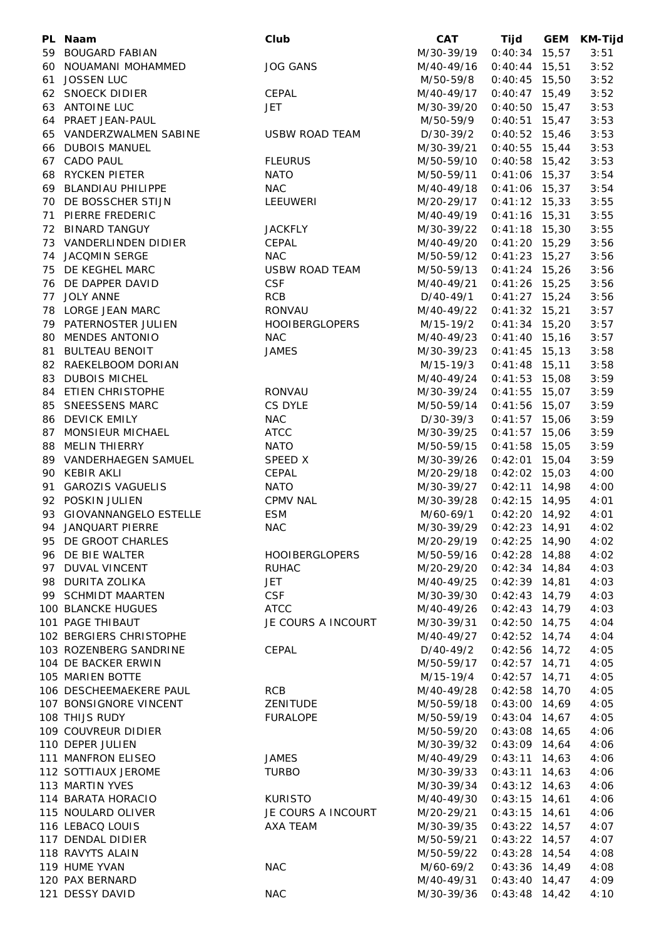| PL Naam                   | Club                  | <b>CAT</b> | Tijd            | GEM KM-Tijd |
|---------------------------|-----------------------|------------|-----------------|-------------|
| 59 BOUGARD FABIAN         |                       | M/30-39/19 | $0:40:34$ 15,57 | 3:51        |
| 60 NOUAMANI MOHAMMED      | <b>JOG GANS</b>       | M/40-49/16 | $0:40:44$ 15,51 | 3:52        |
| 61 JOSSEN LUC             |                       | M/50-59/8  | $0:40:45$ 15,50 | 3:52        |
| 62 SNOECK DIDIER          | <b>CEPAL</b>          | M/40-49/17 | $0:40:47$ 15,49 | 3:52        |
| 63 ANTOINE LUC            | <b>JET</b>            | M/30-39/20 | $0:40:50$ 15,47 | 3:53        |
| 64 PRAET JEAN-PAUL        |                       | M/50-59/9  | $0:40:51$ 15,47 | 3:53        |
| 65 VANDERZWALMEN SABINE   | <b>USBW ROAD TEAM</b> | D/30-39/2  | $0:40:52$ 15,46 | 3:53        |
| 66 DUBOIS MANUEL          |                       | M/30-39/21 | $0:40:55$ 15,44 | 3:53        |
| 67 CADO PAUL              | <b>FLEURUS</b>        | M/50-59/10 | $0:40:58$ 15,42 | 3:53        |
| 68 RYCKEN PIETER          | <b>NATO</b>           | M/50-59/11 | $0:41:06$ 15,37 | 3:54        |
| 69 BLANDIAU PHILIPPE      | <b>NAC</b>            | M/40-49/18 | $0:41:06$ 15,37 | 3:54        |
| 70 DE BOSSCHER STIJN      | LEEUWERI              | M/20-29/17 | $0:41:12$ 15,33 | 3:55        |
| 71 PIERRE FREDERIC        |                       | M/40-49/19 | $0:41:16$ 15,31 | 3:55        |
| 72 BINARD TANGUY          | <b>JACKFLY</b>        | M/30-39/22 | $0:41:18$ 15,30 | 3:55        |
| 73 VANDERLINDEN DIDIER    | CEPAL                 | M/40-49/20 | $0:41:20$ 15,29 | 3:56        |
| 74 JACQMIN SERGE          | <b>NAC</b>            | M/50-59/12 | $0:41:23$ 15,27 | 3:56        |
| 75 DE KEGHEL MARC         | <b>USBW ROAD TEAM</b> | M/50-59/13 | $0:41:24$ 15,26 | 3:56        |
| 76 DE DAPPER DAVID        | <b>CSF</b>            | M/40-49/21 | $0:41:26$ 15,25 | 3:56        |
| 77 JOLY ANNE              | <b>RCB</b>            | D/40-49/1  | $0:41:27$ 15,24 | 3:56        |
| 78 LORGE JEAN MARC        | RONVAU                | M/40-49/22 | $0:41:32$ 15,21 | 3:57        |
| 79 PATERNOSTER JULIEN     | <b>HOOIBERGLOPERS</b> | M/15-19/2  | $0:41:34$ 15,20 | 3:57        |
| 80 MENDES ANTONIO         | <b>NAC</b>            | M/40-49/23 | $0:41:40$ 15,16 | 3:57        |
| 81 BULTEAU BENOIT         | <b>JAMES</b>          | M/30-39/23 | $0:41:45$ 15,13 | 3:58        |
| 82 RAEKELBOOM DORIAN      |                       | M/15-19/3  | $0:41:48$ 15,11 | 3:58        |
| 83 DUBOIS MICHEL          |                       | M/40-49/24 | $0:41:53$ 15,08 | 3:59        |
| 84 ETIEN CHRISTOPHE       | RONVAU                | M/30-39/24 | $0:41:55$ 15,07 | 3:59        |
| 85 SNEESSENS MARC         | CS DYLE               | M/50-59/14 | $0:41:56$ 15,07 | 3:59        |
| 86 DEVICK EMILY           | <b>NAC</b>            | D/30-39/3  | $0:41:57$ 15,06 | 3:59        |
| 87 MONSIEUR MICHAEL       | <b>ATCC</b>           | M/30-39/25 | $0:41:57$ 15,06 | 3:59        |
| 88 MELIN THIERRY          | <b>NATO</b>           | M/50-59/15 | $0:41:58$ 15,05 | 3:59        |
| 89 VANDERHAEGEN SAMUEL    | SPEED X               | M/30-39/26 | $0:42:01$ 15,04 | 3:59        |
| 90 KEBIR AKLI             | CEPAL                 | M/20-29/18 | $0:42:02$ 15,03 | 4:00        |
| 91 GAROZIS VAGUELIS       | <b>NATO</b>           | M/30-39/27 | $0:42:11$ 14,98 | 4:00        |
| 92 POSKIN JULIEN          | <b>CPMV NAL</b>       | M/30-39/28 | $0:42:15$ 14,95 | 4:01        |
| 93 GIOVANNANGELO ESTELLE  | <b>ESM</b>            | M/60-69/1  | $0:42:20$ 14,92 | 4:01        |
| 94 JANQUART PIERRE        | <b>NAC</b>            | M/30-39/29 | $0:42:23$ 14,91 | 4:02        |
| 95 DE GROOT CHARLES       |                       | M/20-29/19 | $0:42:25$ 14,90 | 4:02        |
| 96 DE BIE WALTER          | <b>HOOIBERGLOPERS</b> | M/50-59/16 | $0:42:28$ 14,88 | 4:02        |
| 97 DUVAL VINCENT          | <b>RUHAC</b>          | M/20-29/20 | $0:42:34$ 14,84 | 4:03        |
| 98 DURITA ZOLIKA          | JET                   | M/40-49/25 | $0:42:39$ 14,81 | 4:03        |
| 99 SCHMIDT MAARTEN        | <b>CSF</b>            | M/30-39/30 | $0:42:43$ 14,79 | 4:03        |
| <b>100 BLANCKE HUGUES</b> | <b>ATCC</b>           | M/40-49/26 | $0:42:43$ 14,79 | 4:03        |
| 101 PAGE THIBAUT          | JE COURS A INCOURT    | M/30-39/31 | $0:42:50$ 14,75 | 4:04        |
| 102 BERGIERS CHRISTOPHE   |                       | M/40-49/27 | $0:42:52$ 14,74 | 4:04        |
| 103 ROZENBERG SANDRINE    | CEPAL                 | D/40-49/2  | $0:42:56$ 14,72 | 4:05        |
| 104 DE BACKER ERWIN       |                       | M/50-59/17 | $0:42:57$ 14,71 | 4:05        |
| 105 MARIEN BOTTE          |                       | M/15-19/4  | $0:42:57$ 14,71 | 4:05        |
| 106 DESCHEEMAEKERE PAUL   | <b>RCB</b>            | M/40-49/28 | $0:42:58$ 14,70 | 4:05        |
| 107 BONSIGNORE VINCENT    | ZENITUDE              | M/50-59/18 | $0:43:00$ 14,69 | 4:05        |
| 108 THIJS RUDY            | <b>FURALOPE</b>       | M/50-59/19 | $0:43:04$ 14,67 | 4:05        |
| 109 COUVREUR DIDIER       |                       | M/50-59/20 | $0:43:08$ 14,65 | 4:06        |
| 110 DEPER JULIEN          |                       | M/30-39/32 | $0:43:09$ 14,64 | 4:06        |
| 111 MANFRON ELISEO        | <b>JAMES</b>          | M/40-49/29 | $0:43:11$ 14,63 | 4:06        |
| 112 SOTTIAUX JEROME       | <b>TURBO</b>          | M/30-39/33 | $0:43:11$ 14,63 | 4:06        |
| 113 MARTIN YVES           |                       | M/30-39/34 | $0:43:12$ 14,63 | 4:06        |
| 114 BARATA HORACIO        | <b>KURISTO</b>        | M/40-49/30 | $0:43:15$ 14,61 | 4:06        |
| 115 NOULARD OLIVER        | JE COURS A INCOURT    | M/20-29/21 | $0:43:15$ 14,61 | 4:06        |
| 116 LEBACQ LOUIS          | AXA TEAM              | M/30-39/35 | $0:43:22$ 14,57 | 4:07        |
| 117 DENDAL DIDIER         |                       | M/50-59/21 | $0:43:22$ 14,57 | 4:07        |
| 118 RAVYTS ALAIN          |                       | M/50-59/22 | $0:43:28$ 14,54 | 4:08        |
| 119 HUME YVAN             | <b>NAC</b>            | M/60-69/2  | $0:43:36$ 14,49 | 4:08        |
| 120 PAX BERNARD           |                       | M/40-49/31 | $0:43:40$ 14,47 | 4:09        |
| 121 DESSY DAVID           | <b>NAC</b>            | M/30-39/36 | $0:43:48$ 14,42 | 4:10        |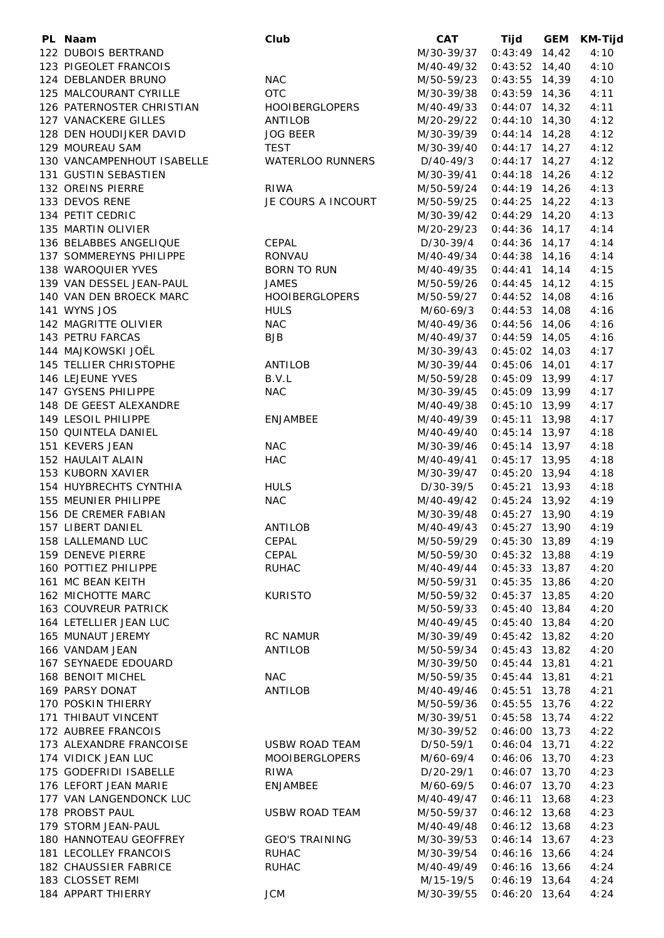| PL Naam                    | Club                    | CAT         | Tijd            | GEM | KM-Tijd |
|----------------------------|-------------------------|-------------|-----------------|-----|---------|
| 122 DUBOIS BERTRAND        |                         | M/30-39/37  | $0:43:49$ 14,42 |     | 4:10    |
| 123 PIGEOLET FRANCOIS      |                         | M/40-49/32  | $0:43:52$ 14,40 |     | 4:10    |
| 124 DEBLANDER BRUNO        | <b>NAC</b>              | M/50-59/23  | $0:43:55$ 14,39 |     | 4:10    |
| 125 MALCOURANT CYRILLE     | <b>OTC</b>              | M/30-39/38  | $0:43:59$ 14,36 |     | 4:11    |
| 126 PATERNOSTER CHRISTIAN  | <b>HOOIBERGLOPERS</b>   | M/40-49/33  | $0:44:07$ 14,32 |     | 4:11    |
| 127 VANACKERE GILLES       | ANTILOB                 | M/20-29/22  | $0:44:10$ 14,30 |     | 4:12    |
| 128 DEN HOUDIJKER DAVID    | <b>JOG BEER</b>         | M/30-39/39  | $0:44:14$ 14,28 |     | 4:12    |
| 129 MOUREAU SAM            | <b>TEST</b>             | M/30-39/40  | $0:44:17$ 14,27 |     | 4:12    |
| 130 VANCAMPENHOUT ISABELLE | WATERLOO RUNNERS        | $D/40-49/3$ | $0:44:17$ 14,27 |     | 4:12    |
| 131 GUSTIN SEBASTIEN       |                         | M/30-39/41  | $0:44:18$ 14,26 |     | 4:12    |
| 132 OREINS PIERRE          | RIWA                    | M/50-59/24  | $0:44:19$ 14,26 |     | 4:13    |
| 133 DEVOS RENE             | JE COURS A INCOURT      | M/50-59/25  | $0:44:25$ 14,22 |     | 4:13    |
| 134 PETIT CEDRIC           |                         | M/30-39/42  | $0:44:29$ 14,20 |     | 4:13    |
| 135 MARTIN OLIVIER         |                         | M/20-29/23  | $0:44:36$ 14,17 |     | 4:14    |
| 136 BELABBES ANGELIQUE     | CEPAL                   | D/30-39/4   | $0:44:36$ 14,17 |     | 4:14    |
| 137 SOMMEREYNS PHILIPPE    | <b>RONVAU</b>           | M/40-49/34  | $0:44:38$ 14,16 |     | 4:14    |
| 138 WAROQUIER YVES         | <b>BORN TO RUN</b>      |             | $0:44:41$ 14,14 |     | 4:15    |
| 139 VAN DESSEL JEAN-PAUL   | <b>JAMES</b>            | M/40-49/35  | $0:44:45$ 14,12 |     |         |
|                            |                         | M/50-59/26  |                 |     | 4:15    |
| 140 VAN DEN BROECK MARC    | <b>HOOIBERGLOPERS</b>   | M/50-59/27  | $0:44:52$ 14,08 |     | 4:16    |
| 141 WYNS JOS               | <b>HULS</b>             | M/60-69/3   | $0:44:53$ 14,08 |     | 4:16    |
| 142 MAGRITTE OLIVIER       | <b>NAC</b>              | M/40-49/36  | $0:44:56$ 14,06 |     | 4:16    |
| 143 PETRU FARCAS           | <b>BJB</b>              | M/40-49/37  | $0:44:59$ 14,05 |     | 4:16    |
| 144 MAJKOWSKI JOËL         |                         | M/30-39/43  | $0:45:02$ 14,03 |     | 4:17    |
| 145 TELLIER CHRISTOPHE     | ANTILOB                 | M/30-39/44  | $0:45:06$ 14,01 |     | 4:17    |
| 146 LEJEUNE YVES           | B.V.L                   | M/50-59/28  | $0:45:09$ 13,99 |     | 4:17    |
| 147 GYSENS PHILIPPE        | <b>NAC</b>              | M/30-39/45  | $0:45:09$ 13,99 |     | 4:17    |
| 148 DE GEEST ALEXANDRE     |                         | M/40-49/38  | $0:45:10$ 13,99 |     | 4:17    |
| 149 LESOIL PHILIPPE        | ENJAMBEE                | M/40-49/39  | $0:45:11$ 13,98 |     | 4:17    |
| 150 QUINTELA DANIEL        |                         | M/40-49/40  | $0:45:14$ 13,97 |     | 4:18    |
| 151 KEVERS JEAN            | <b>NAC</b>              | M/30-39/46  | $0:45:14$ 13,97 |     | 4:18    |
| 152 HAULAIT ALAIN          | <b>HAC</b>              | M/40-49/41  | $0:45:17$ 13,95 |     | 4:18    |
| 153 KUBORN XAVIER          |                         | M/30-39/47  | $0:45:20$ 13,94 |     | 4:18    |
| 154 HUYBRECHTS CYNTHIA     | <b>HULS</b>             | D/30-39/5   | $0:45:21$ 13,93 |     | 4:18    |
| 155 MEUNIER PHILIPPE       | <b>NAC</b>              | M/40-49/42  | $0:45:24$ 13,92 |     | 4:19    |
| 156 DE CREMER FABIAN       |                         | M/30-39/48  | $0:45:27$ 13,90 |     | 4:19    |
| 157 LIBERT DANIEL          | <b>ANTILOB</b>          | M/40-49/43  | $0:45:27$ 13.90 |     | 4:19    |
| 158 LALLEMAND LUC          | <b>CEPAL</b>            | M/50-59/29  | $0:45:30$ 13,89 |     | 4:19    |
| 159 DENEVE PIERRE          | CEPAL                   | M/50-59/30  | $0:45:32$ 13,88 |     | 4:19    |
| 160 POTTIEZ PHILIPPE       | <b>RUHAC</b>            | M/40-49/44  | $0:45:33$ 13,87 |     | 4:20    |
| 161 MC BEAN KEITH          |                         | M/50-59/31  | $0:45:35$ 13,86 |     | 4:20    |
| 162 MICHOTTE MARC          | <b>KURISTO</b>          | M/50-59/32  | $0:45:37$ 13,85 |     | 4:20    |
| 163 COUVREUR PATRICK       |                         | M/50-59/33  | $0:45:40$ 13,84 |     | 4:20    |
| 164 LETELLIER JEAN LUC     |                         | M/40-49/45  | $0:45:40$ 13,84 |     | 4:20    |
| 165 MUNAUT JEREMY          | <b>RC NAMUR</b>         | M/30-39/49  | $0:45:42$ 13,82 |     | 4:20    |
| 166 VANDAM JEAN            | <b>ANTILOB</b>          | M/50-59/34  | $0:45:43$ 13,82 |     | 4:20    |
| 167 SEYNAEDE EDOUARD       |                         | M/30-39/50  | $0:45:44$ 13,81 |     | 4:21    |
| 168 BENOIT MICHEL          | <b>NAC</b>              | M/50-59/35  | $0:45:44$ 13,81 |     | 4:21    |
| 169 PARSY DONAT            | ANTILOB                 | M/40-49/46  | $0:45:51$ 13,78 |     | 4:21    |
| 170 POSKIN THIERRY         |                         | M/50-59/36  | $0:45:55$ 13,76 |     | 4:22    |
| 171 THIBAUT VINCENT        |                         | M/30-39/51  | $0:45:58$ 13,74 |     | 4:22    |
| 172 AUBREE FRANCOIS        |                         | M/30-39/52  | $0:46:00$ 13,73 |     | 4:22    |
| 173 ALEXANDRE FRANCOISE    | USBW ROAD TEAM          | D/50-59/1   | $0:46:04$ 13,71 |     | 4:22    |
| 174 VIDICK JEAN LUC        | <b>MOOIBERGLOPERS</b>   | M/60-69/4   | $0:46:06$ 13,70 |     | 4:23    |
| 175 GODEFRIDI ISABELLE     |                         |             | $0:46:07$ 13,70 |     | 4:23    |
| 176 LEFORT JEAN MARIE      | RIWA<br><b>ENJAMBEE</b> | D/20-29/1   | $0:46:07$ 13,70 |     | 4:23    |
|                            |                         | M/60-69/5   |                 |     |         |
| 177 VAN LANGENDONCK LUC    |                         | M/40-49/47  | $0:46:11$ 13,68 |     | 4:23    |
| 178 PROBST PAUL            | <b>USBW ROAD TEAM</b>   | M/50-59/37  | $0:46:12$ 13,68 |     | 4:23    |
| 179 STORM JEAN-PAUL        |                         | M/40-49/48  | $0:46:12$ 13,68 |     | 4:23    |
| 180 HANNOTEAU GEOFFREY     | <b>GEO'S TRAINING</b>   | M/30-39/53  | $0:46:14$ 13,67 |     | 4:23    |
| 181 LECOLLEY FRANCOIS      | <b>RUHAC</b>            | M/30-39/54  | $0:46:16$ 13,66 |     | 4:24    |
| 182 CHAUSSIER FABRICE      | <b>RUHAC</b>            | M/40-49/49  | $0:46:16$ 13,66 |     | 4:24    |
| 183 CLOSSET REMI           |                         | M/15-19/5   | $0:46:19$ 13,64 |     | 4:24    |
| 184 APPART THIERRY         | <b>JCM</b>              | M/30-39/55  | $0:46:20$ 13,64 |     | 4:24    |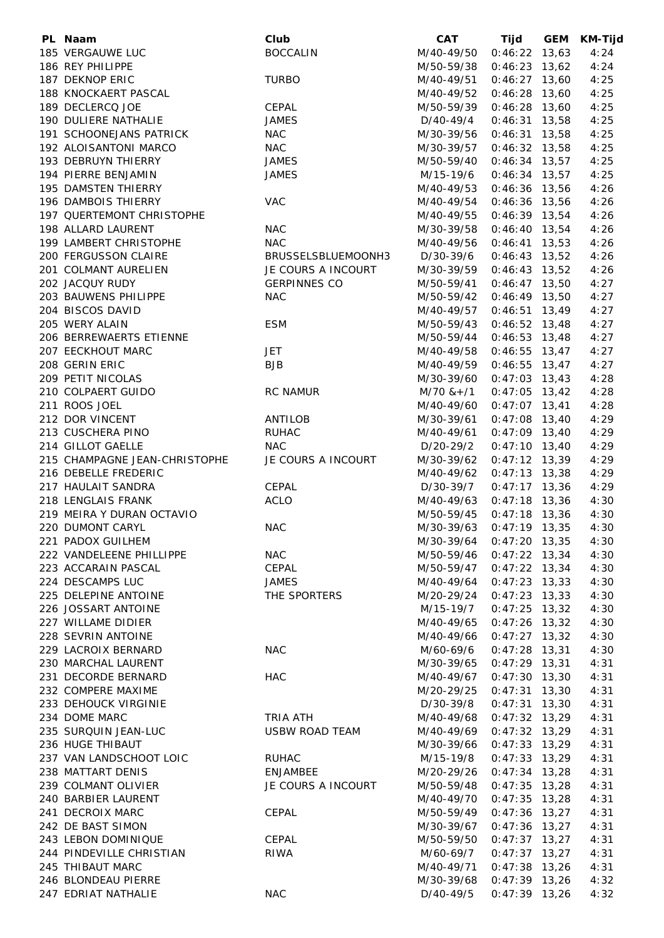| PL Naam                       | Club                  | <b>CAT</b> | Tijd            | GEM | <b>KM-Tijd</b> |
|-------------------------------|-----------------------|------------|-----------------|-----|----------------|
| 185 VERGAUWE LUC              | <b>BOCCALIN</b>       | M/40-49/50 | $0:46:22$ 13,63 |     | 4:24           |
| 186 REY PHILIPPE              |                       | M/50-59/38 | $0:46:23$ 13,62 |     | 4:24           |
| 187 DEKNOP ERIC               | <b>TURBO</b>          | M/40-49/51 | $0:46:27$ 13,60 |     | 4:25           |
| 188 KNOCKAERT PASCAL          |                       | M/40-49/52 | $0:46:28$ 13,60 |     | 4:25           |
| 189 DECLERCQ JOE              | CEPAL                 | M/50-59/39 | $0:46:28$ 13,60 |     | 4:25           |
| 190 DULIERE NATHALIE          | <b>JAMES</b>          | D/40-49/4  | $0:46:31$ 13,58 |     | 4:25           |
| 191 SCHOONEJANS PATRICK       | <b>NAC</b>            | M/30-39/56 | $0:46:31$ 13,58 |     | 4:25           |
| 192 ALOISANTONI MARCO         | <b>NAC</b>            | M/30-39/57 | $0:46:32$ 13,58 |     | 4:25           |
| 193 DEBRUYN THIERRY           | <b>JAMES</b>          | M/50-59/40 | $0:46:34$ 13,57 |     | 4:25           |
|                               |                       |            |                 |     |                |
| 194 PIERRE BENJAMIN           | <b>JAMES</b>          | M/15-19/6  | $0:46:34$ 13,57 |     | 4:25           |
| 195 DAMSTEN THIERRY           |                       | M/40-49/53 | $0:46:36$ 13,56 |     | 4:26           |
| 196 DAMBOIS THIERRY           | <b>VAC</b>            | M/40-49/54 | $0:46:36$ 13,56 |     | 4:26           |
| 197 QUERTEMONT CHRISTOPHE     |                       | M/40-49/55 | $0:46:39$ 13,54 |     | 4:26           |
| 198 ALLARD LAURENT            | <b>NAC</b>            | M/30-39/58 | $0:46:40$ 13,54 |     | 4:26           |
| 199 LAMBERT CHRISTOPHE        | <b>NAC</b>            | M/40-49/56 | $0:46:41$ 13,53 |     | 4:26           |
| 200 FERGUSSON CLAIRE          | BRUSSELSBLUEMOONH3    | D/30-39/6  | $0:46:43$ 13,52 |     | 4:26           |
| 201 COLMANT AURELIEN          | JE COURS A INCOURT    | M/30-39/59 | $0:46:43$ 13,52 |     | 4:26           |
| 202 JACQUY RUDY               | <b>GERPINNES CO</b>   | M/50-59/41 | $0:46:47$ 13,50 |     | 4:27           |
| 203 BAUWENS PHILIPPE          | <b>NAC</b>            | M/50-59/42 | $0:46:49$ 13,50 |     | 4:27           |
| 204 BISCOS DAVID              |                       | M/40-49/57 | $0:46:51$ 13,49 |     | 4:27           |
| 205 WERY ALAIN                | <b>ESM</b>            | M/50-59/43 | $0:46:52$ 13,48 |     | 4:27           |
| 206 BERREWAERTS ETIENNE       |                       | M/50-59/44 | $0:46:53$ 13,48 |     | 4:27           |
| 207 EECKHOUT MARC             | <b>JET</b>            | M/40-49/58 | $0:46:55$ 13,47 |     | 4:27           |
| 208 GERIN ERIC                | <b>BJB</b>            | M/40-49/59 | $0:46:55$ 13,47 |     | 4:27           |
| 209 PETIT NICOLAS             |                       | M/30-39/60 | $0:47:03$ 13,43 |     | 4:28           |
| 210 COLPAERT GUIDO            | <b>RC NAMUR</b>       | M/70 &+/1  | $0:47:05$ 13,42 |     | 4:28           |
| 211 ROOS JOEL                 |                       | M/40-49/60 | $0:47:07$ 13,41 |     | 4:28           |
| 212 DOR VINCENT               | ANTILOB               | M/30-39/61 | $0:47:08$ 13,40 |     | 4:29           |
| 213 CUSCHERA PINO             | <b>RUHAC</b>          | M/40-49/61 | $0:47:09$ 13,40 |     | 4:29           |
|                               |                       |            |                 |     |                |
| 214 GILLOT GAELLE             | <b>NAC</b>            | D/20-29/2  | $0:47:10$ 13,40 |     | 4:29           |
| 215 CHAMPAGNE JEAN-CHRISTOPHE | JE COURS A INCOURT    | M/30-39/62 | $0:47:12$ 13,39 |     | 4:29           |
| 216 DEBELLE FREDERIC          |                       | M/40-49/62 | $0:47:13$ 13,38 |     | 4:29           |
| 217 HAULAIT SANDRA            | CEPAL                 | D/30-39/7  | $0:47:17$ 13,36 |     | 4:29           |
| 218 LENGLAIS FRANK            | <b>ACLO</b>           | M/40-49/63 | $0:47:18$ 13,36 |     | 4:30           |
| 219 MEIRA Y DURAN OCTAVIO     |                       | M/50-59/45 | $0:47:18$ 13,36 |     | 4:30           |
| 220 DUMONT CARYL              | <b>NAC</b>            | M/30-39/63 | $0:47:19$ 13,35 |     | 4:30           |
| 221 PADOX GUILHEM             |                       | M/30-39/64 | $0:47:20$ 13,35 |     | 4:30           |
| 222 VANDELEENE PHILLIPPE      | <b>NAC</b>            | M/50-59/46 | $0:47:22$ 13,34 |     | 4:30           |
| 223 ACCARAIN PASCAL           | CEPAL                 | M/50-59/47 | $0:47:22$ 13,34 |     | 4:30           |
| 224 DESCAMPS LUC              | <b>JAMES</b>          | M/40-49/64 | $0:47:23$ 13,33 |     | 4:30           |
| 225 DELEPINE ANTOINE          | THE SPORTERS          | M/20-29/24 | $0:47:23$ 13,33 |     | 4:30           |
| 226 JOSSART ANTOINE           |                       | M/15-19/7  | $0:47:25$ 13,32 |     | 4:30           |
| 227 WILLAME DIDIER            |                       | M/40-49/65 | $0:47:26$ 13,32 |     | 4:30           |
| 228 SEVRIN ANTOINE            |                       | M/40-49/66 | $0:47:27$ 13,32 |     | 4:30           |
| 229 LACROIX BERNARD           | <b>NAC</b>            | M/60-69/6  | $0:47:28$ 13,31 |     | 4:30           |
| 230 MARCHAL LAURENT           |                       | M/30-39/65 | $0:47:29$ 13,31 |     | 4:31           |
| 231 DECORDE BERNARD           | <b>HAC</b>            | M/40-49/67 | $0:47:30$ 13,30 |     | 4:31           |
| 232 COMPERE MAXIME            |                       | M/20-29/25 | $0:47:31$ 13,30 |     | 4:31           |
| 233 DEHOUCK VIRGINIE          |                       | D/30-39/8  | $0:47:31$ 13,30 |     | 4:31           |
| 234 DOME MARC                 |                       |            |                 |     |                |
|                               | TRIA ATH              | M/40-49/68 | $0:47:32$ 13,29 |     | 4:31           |
| 235 SURQUIN JEAN-LUC          | <b>USBW ROAD TEAM</b> | M/40-49/69 | $0:47:32$ 13,29 |     | 4:31           |
| 236 HUGE THIBAUT              |                       | M/30-39/66 | $0:47:33$ 13,29 |     | 4:31           |
| 237 VAN LANDSCHOOT LOIC       | <b>RUHAC</b>          | M/15-19/8  | $0:47:33$ 13,29 |     | 4:31           |
| 238 MATTART DENIS             | <b>ENJAMBEE</b>       | M/20-29/26 | $0:47:34$ 13,28 |     | 4:31           |
| 239 COLMANT OLIVIER           | JE COURS A INCOURT    | M/50-59/48 | $0:47:35$ 13,28 |     | 4:31           |
| 240 BARBIER LAURENT           |                       | M/40-49/70 | $0:47:35$ 13,28 |     | 4:31           |
| 241 DECROIX MARC              | CEPAL                 | M/50-59/49 | $0:47:36$ 13,27 |     | 4:31           |
| 242 DE BAST SIMON             |                       | M/30-39/67 | $0:47:36$ 13,27 |     | 4:31           |
| 243 LEBON DOMINIQUE           | CEPAL                 | M/50-59/50 | $0:47:37$ 13,27 |     | 4:31           |
| 244 PINDEVILLE CHRISTIAN      | <b>RIWA</b>           | M/60-69/7  | $0:47:37$ 13,27 |     | 4:31           |
| 245 THIBAUT MARC              |                       | M/40-49/71 | $0:47:38$ 13,26 |     | 4:31           |
| 246 BLONDEAU PIERRE           |                       | M/30-39/68 | $0:47:39$ 13,26 |     | 4:32           |
| 247 EDRIAT NATHALIE           | <b>NAC</b>            | D/40-49/5  | $0:47:39$ 13,26 |     | 4:32           |
|                               |                       |            |                 |     |                |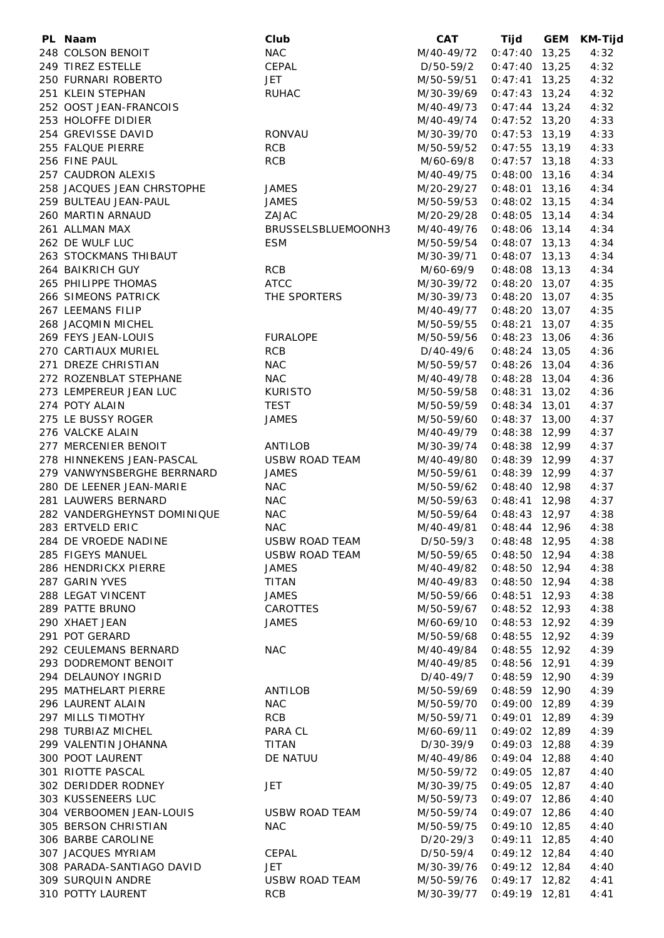| PL Naam                     | Club                  | <b>CAT</b>  | Tijd            | GEM | <b>KM-Tijd</b> |
|-----------------------------|-----------------------|-------------|-----------------|-----|----------------|
| 248 COLSON BENOIT           | <b>NAC</b>            | M/40-49/72  | $0:47:40$ 13,25 |     | 4:32           |
| 249 TIREZ ESTELLE           | CEPAL                 | D/50-59/2   | $0:47:40$ 13,25 |     | 4:32           |
| 250 FURNARI ROBERTO         | <b>JET</b>            | M/50-59/51  | $0:47:41$ 13,25 |     | 4:32           |
| 251 KLEIN STEPHAN           | <b>RUHAC</b>          | M/30-39/69  | $0:47:43$ 13,24 |     | 4:32           |
| 252 OOST JEAN-FRANCOIS      |                       | M/40-49/73  | $0:47:44$ 13,24 |     | 4:32           |
| 253 HOLOFFE DIDIER          |                       | M/40-49/74  | $0:47:52$ 13,20 |     | 4:33           |
| 254 GREVISSE DAVID          | RONVAU                | M/30-39/70  | $0:47:53$ 13,19 |     | 4:33           |
| 255 FALQUE PIERRE           | <b>RCB</b>            | M/50-59/52  | $0:47:55$ 13,19 |     | 4:33           |
| 256 FINE PAUL               | <b>RCB</b>            | M/60-69/8   | $0:47:57$ 13,18 |     | 4:33           |
| 257 CAUDRON ALEXIS          |                       | M/40-49/75  | $0:48:00$ 13,16 |     | 4:34           |
| 258 JACQUES JEAN CHRSTOPHE  | <b>JAMES</b>          | M/20-29/27  | $0:48:01$ 13,16 |     | 4:34           |
|                             |                       |             |                 |     |                |
| 259 BULTEAU JEAN-PAUL       | <b>JAMES</b>          | M/50-59/53  | $0:48:02$ 13,15 |     | 4:34           |
| 260 MARTIN ARNAUD           | ZAJAC                 | M/20-29/28  | $0:48:05$ 13,14 |     | 4:34           |
| 261 ALLMAN MAX              | BRUSSELSBLUEMOONH3    | M/40-49/76  | $0:48:06$ 13,14 |     | 4:34           |
| 262 DE WULF LUC             | <b>ESM</b>            | M/50-59/54  | $0:48:07$ 13,13 |     | 4:34           |
| 263 STOCKMANS THIBAUT       |                       | M/30-39/71  | $0:48:07$ 13,13 |     | 4:34           |
| 264 BAIKRICH GUY            | <b>RCB</b>            | M/60-69/9   | $0:48:08$ 13,13 |     | 4:34           |
| 265 PHILIPPE THOMAS         | <b>ATCC</b>           | M/30-39/72  | $0:48:20$ 13,07 |     | 4:35           |
| 266 SIMEONS PATRICK         | THE SPORTERS          | M/30-39/73  | $0:48:20$ 13,07 |     | 4:35           |
| 267 LEEMANS FILIP           |                       | M/40-49/77  | $0:48:20$ 13,07 |     | 4:35           |
| 268 JACQMIN MICHEL          |                       | M/50-59/55  | $0:48:21$ 13,07 |     | 4:35           |
| 269 FEYS JEAN-LOUIS         | <b>FURALOPE</b>       | M/50-59/56  | $0:48:23$ 13,06 |     | 4:36           |
| 270 CARTIAUX MURIEL         | <b>RCB</b>            | D/40-49/6   | $0:48:24$ 13,05 |     | 4:36           |
| 271 DREZE CHRISTIAN         | <b>NAC</b>            | M/50-59/57  | $0:48:26$ 13,04 |     | 4:36           |
| 272 ROZENBLAT STEPHANE      | <b>NAC</b>            | M/40-49/78  | $0:48:28$ 13,04 |     | 4:36           |
| 273 LEMPEREUR JEAN LUC      | <b>KURISTO</b>        | M/50-59/58  | $0:48:31$ 13,02 |     | 4:36           |
| 274 POTY ALAIN              | <b>TEST</b>           | M/50-59/59  | $0:48:34$ 13,01 |     | 4:37           |
| 275 LE BUSSY ROGER          | <b>JAMES</b>          | M/50-59/60  | $0:48:37$ 13,00 |     | 4:37           |
| 276 VALCKE ALAIN            |                       | M/40-49/79  | $0:48:38$ 12,99 |     | 4:37           |
| 277 MERCENIER BENOIT        | ANTILOB               | M/30-39/74  | $0:48:38$ 12,99 |     | 4:37           |
| 278 HINNEKENS JEAN-PASCAL   | <b>USBW ROAD TEAM</b> | M/40-49/80  | $0:48:39$ 12,99 |     | 4:37           |
| 279 VANWYNSBERGHE BERRNARD  | <b>JAMES</b>          | M/50-59/61  | $0:48:39$ 12,99 |     | 4:37           |
| 280 DE LEENER JEAN-MARIE    | <b>NAC</b>            | M/50-59/62  | $0:48:40$ 12,98 |     | 4:37           |
| 281 LAUWERS BERNARD         | <b>NAC</b>            | M/50-59/63  | $0:48:41$ 12,98 |     | 4:37           |
| 282 VANDERGHEYNST DOMINIQUE | <b>NAC</b>            | M/50-59/64  | $0:48:43$ 12,97 |     | 4:38           |
| 283 ERTVELD ERIC            | <b>NAC</b>            | M/40-49/81  | $0:48:44$ 12,96 |     | 4:38           |
| 284 DE VROEDE NADINE        | USBW ROAD TEAM        | D/50-59/3   | $0:48:48$ 12,95 |     | 4:38           |
| 285 FIGEYS MANUEL           | <b>USBW ROAD TEAM</b> |             | $0:48:50$ 12,94 |     | 4:38           |
| 286 HENDRICKX PIERRE        | <b>JAMES</b>          | M/50-59/65  |                 |     |                |
|                             |                       | M/40-49/82  | $0:48:50$ 12,94 |     | 4:38           |
| 287 GARIN YVES              | <b>TITAN</b>          | M/40-49/83  | $0:48:50$ 12,94 |     | 4:38           |
| 288 LEGAT VINCENT           | <b>JAMES</b>          | M/50-59/66  | $0:48:51$ 12,93 |     | 4:38           |
| 289 PATTE BRUNO             | <b>CAROTTES</b>       | M/50-59/67  | $0:48:52$ 12,93 |     | 4:38           |
| 290 XHAET JEAN              | <b>JAMES</b>          | M/60-69/10  | $0:48:53$ 12,92 |     | 4:39           |
| 291 POT GERARD              |                       | M/50-59/68  | $0:48:55$ 12,92 |     | 4:39           |
| 292 CEULEMANS BERNARD       | <b>NAC</b>            | M/40-49/84  | $0:48:55$ 12,92 |     | 4:39           |
| 293 DODREMONT BENOIT        |                       | M/40-49/85  | $0:48:56$ 12,91 |     | 4:39           |
| 294 DELAUNOY INGRID         |                       | D/40-49/7   | $0:48:59$ 12,90 |     | 4:39           |
| 295 MATHELART PIERRE        | ANTILOB               | M/50-59/69  | $0:48:59$ 12,90 |     | 4:39           |
| 296 LAURENT ALAIN           | <b>NAC</b>            | M/50-59/70  | $0:49:00$ 12,89 |     | 4:39           |
| 297 MILLS TIMOTHY           | <b>RCB</b>            | M/50-59/71  | $0:49:01$ 12,89 |     | 4:39           |
| 298 TURBIAZ MICHEL          | PARA CL               | M/60-69/11  | $0:49:02$ 12,89 |     | 4:39           |
| 299 VALENTIN JOHANNA        | <b>TITAN</b>          | D/30-39/9   | $0:49:03$ 12,88 |     | 4:39           |
| 300 POOT LAURENT            | DE NATUU              | M/40-49/86  | $0:49:04$ 12,88 |     | 4:40           |
| 301 RIOTTE PASCAL           |                       | M/50-59/72  | $0:49:05$ 12,87 |     | 4:40           |
| 302 DERIDDER RODNEY         | JET                   | M/30-39/75  | $0:49:05$ 12,87 |     | 4:40           |
| 303 KUSSENEERS LUC          |                       | M/50-59/73  | $0:49:07$ 12,86 |     | 4:40           |
| 304 VERBOOMEN JEAN-LOUIS    | <b>USBW ROAD TEAM</b> | M/50-59/74  | $0:49:07$ 12,86 |     | 4:40           |
| 305 BERSON CHRISTIAN        | <b>NAC</b>            | M/50-59/75  | $0:49:10$ 12,85 |     | 4:40           |
| 306 BARBE CAROLINE          |                       | $D/20-29/3$ | $0:49:11$ 12,85 |     | 4:40           |
| 307 JACQUES MYRIAM          | CEPAL                 | D/50-59/4   | $0:49:12$ 12,84 |     | 4:40           |
| 308 PARADA-SANTIAGO DAVID   | JET                   | M/30-39/76  | $0:49:12$ 12,84 |     | 4:40           |
| 309 SURQUIN ANDRE           | <b>USBW ROAD TEAM</b> | M/50-59/76  | $0:49:17$ 12,82 |     | 4:41           |
| 310 POTTY LAURENT           | <b>RCB</b>            | M/30-39/77  | $0:49:19$ 12,81 |     | 4:41           |
|                             |                       |             |                 |     |                |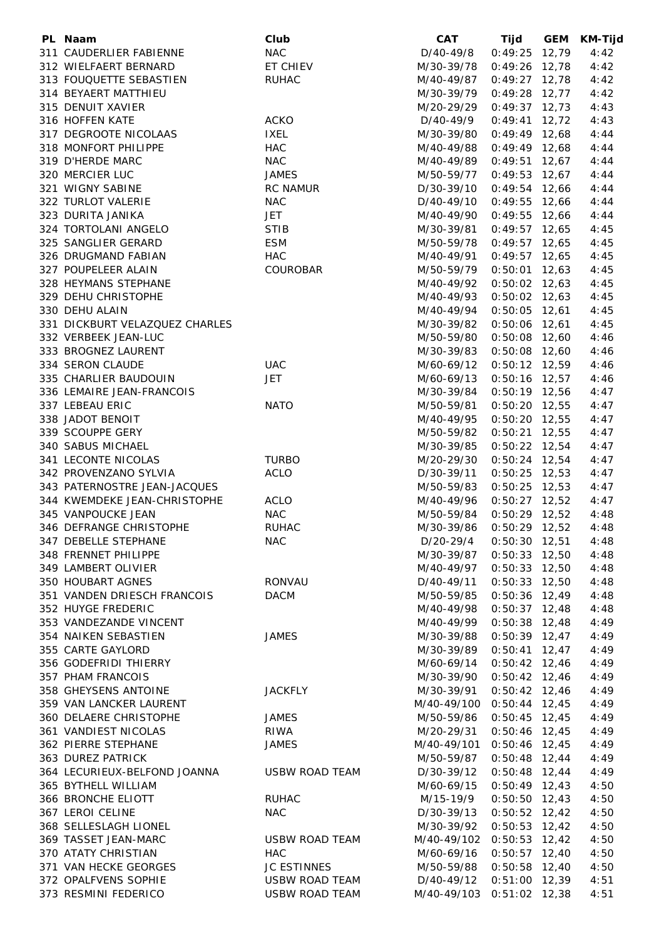| PL Naam                        | Club                  | <b>CAT</b>                | Tijd            | <b>GEM</b> | KM-Tijd |
|--------------------------------|-----------------------|---------------------------|-----------------|------------|---------|
| 311 CAUDERLIER FABIENNE        | <b>NAC</b>            | D/40-49/8                 | 0:49:25         | 12,79      | 4:42    |
| 312 WIELFAERT BERNARD          | ET CHIEV              | M/30-39/78                | $0:49:26$ 12,78 |            | 4:42    |
| 313 FOUQUETTE SEBASTIEN        | <b>RUHAC</b>          | M/40-49/87                | $0:49:27$ 12,78 |            | 4:42    |
| 314 BEYAERT MATTHIEU           |                       | M/30-39/79                | $0:49:28$ 12,77 |            | 4:42    |
| 315 DENUIT XAVIER              |                       | M/20-29/29                | $0:49:37$ 12,73 |            | 4:43    |
| 316 HOFFEN KATE                | <b>ACKO</b>           | D/40-49/9                 | $0:49:41$ 12,72 |            | 4:43    |
| 317 DEGROOTE NICOLAAS          | <b>IXEL</b>           | M/30-39/80                | $0:49:49$ 12,68 |            | 4:44    |
| 318 MONFORT PHILIPPE           | <b>HAC</b>            | M/40-49/88                | $0:49:49$ 12,68 |            | 4:44    |
| 319 D'HERDE MARC               | <b>NAC</b>            | M/40-49/89                | $0:49:51$ 12,67 |            | 4:44    |
| 320 MERCIER LUC                | <b>JAMES</b>          | M/50-59/77                | $0:49:53$ 12,67 |            | 4:44    |
| 321 WIGNY SABINE               | RC NAMUR              | D/30-39/10                | $0:49:54$ 12,66 |            | 4:44    |
| 322 TURLOT VALERIE             | <b>NAC</b>            | D/40-49/10                | $0:49:55$ 12,66 |            | 4:44    |
| 323 DURITA JANIKA              | JET                   | M/40-49/90                | $0:49:55$ 12,66 |            | 4:44    |
| 324 TORTOLANI ANGELO           | <b>STIB</b>           | M/30-39/81                | $0:49:57$ 12,65 |            | 4:45    |
| 325 SANGLIER GERARD            | ESM                   | M/50-59/78                | $0:49:57$ 12,65 |            | 4:45    |
| 326 DRUGMAND FABIAN            | <b>HAC</b>            | M/40-49/91                | $0:49:57$ 12,65 |            | 4:45    |
| 327 POUPELEER ALAIN            | COUROBAR              | M/50-59/79                | $0:50:01$ 12,63 |            | 4:45    |
| 328 HEYMANS STEPHANE           |                       | M/40-49/92                | $0:50:02$ 12,63 |            | 4:45    |
| 329 DEHU CHRISTOPHE            |                       | M/40-49/93                | $0:50:02$ 12,63 |            | 4:45    |
| 330 DEHU ALAIN                 |                       | M/40-49/94                | $0:50:05$ 12,61 |            | 4:45    |
| 331 DICKBURT VELAZQUEZ CHARLES |                       | M/30-39/82                | $0:50:06$ 12,61 |            | 4:45    |
| 332 VERBEEK JEAN-LUC           |                       | M/50-59/80                | $0:50:08$ 12,60 |            | 4:46    |
| 333 BROGNEZ LAURENT            |                       | M/30-39/83                | $0:50:08$ 12,60 |            | 4:46    |
| 334 SERON CLAUDE               | <b>UAC</b>            | M/60-69/12                | $0:50:12$ 12,59 |            | 4:46    |
| 335 CHARLIER BAUDOUIN          | <b>JET</b>            | M/60-69/13                | $0:50:16$ 12,57 |            | 4:46    |
| 336 LEMAIRE JEAN-FRANCOIS      |                       | M/30-39/84                | $0:50:19$ 12,56 |            | 4:47    |
| 337 LEBEAU ERIC                | <b>NATO</b>           | M/50-59/81                | $0:50:20$ 12,55 |            | 4:47    |
| 338 JADOT BENOIT               |                       | M/40-49/95                | $0:50:20$ 12,55 |            | 4:47    |
| 339 SCOUPPE GERY               |                       | M/50-59/82                | $0:50:21$ 12,55 |            | 4:47    |
| 340 SABUS MICHAEL              |                       | M/30-39/85                | $0:50:22$ 12,54 |            | 4:47    |
| 341 LECONTE NICOLAS            | <b>TURBO</b>          | M/20-29/30                | $0:50:24$ 12,54 |            | 4:47    |
| 342 PROVENZANO SYLVIA          | <b>ACLO</b>           | D/30-39/11                | $0:50:25$ 12,53 |            | 4:47    |
| 343 PATERNOSTRE JEAN-JACQUES   |                       | M/50-59/83                | $0:50:25$ 12,53 |            | 4:47    |
| 344 KWEMDEKE JEAN-CHRISTOPHE   | ACLO                  | M/40-49/96                | $0:50:27$ 12,52 |            | 4:47    |
| 345 VANPOUCKE JEAN             | <b>NAC</b>            | M/50-59/84                | $0:50:29$ 12,52 |            | 4:48    |
| 346 DEFRANGE CHRISTOPHE        | <b>RUHAC</b>          | M/30-39/86                | $0:50:29$ 12,52 |            | 4:48    |
| 347 DEBELLE STEPHANE           | <b>NAC</b>            | D/20-29/4                 | $0:50:30$ 12,51 |            | 4:48    |
| 348 FRENNET PHILIPPE           |                       | M/30-39/87                | $0:50:33$ 12,50 |            | 4:48    |
| 349 LAMBERT OLIVIER            |                       | M/40-49/97                | $0:50:33$ 12,50 |            | 4:48    |
| 350 HOUBART AGNES              | RONVAU                | D/40-49/11                | $0:50:33$ 12,50 |            | 4:48    |
| 351 VANDEN DRIESCH FRANCOIS    | <b>DACM</b>           | M/50-59/85                | $0:50:36$ 12,49 |            | 4:48    |
| 352 HUYGE FREDERIC             |                       | M/40-49/98                | $0:50:37$ 12,48 |            | 4:48    |
| 353 VANDEZANDE VINCENT         |                       | M/40-49/99                | $0:50:38$ 12,48 |            | 4:49    |
| 354 NAIKEN SEBASTIEN           | <b>JAMES</b>          | M/30-39/88                | $0:50:39$ 12,47 |            | 4:49    |
| 355 CARTE GAYLORD              |                       | M/30-39/89                | $0:50:41$ 12,47 |            | 4:49    |
| 356 GODEFRIDI THIERRY          |                       | M/60-69/14                | $0:50:42$ 12,46 |            | 4:49    |
| 357 PHAM FRANCOIS              |                       | M/30-39/90                | $0:50:42$ 12,46 |            | 4:49    |
| 358 GHEYSENS ANTOINE           | <b>JACKFLY</b>        | M/30-39/91                | $0:50:42$ 12,46 |            | 4:49    |
| 359 VAN LANCKER LAURENT        |                       | M/40-49/100               | $0:50:44$ 12,45 |            | 4:49    |
| 360 DELAERE CHRISTOPHE         | <b>JAMES</b>          | M/50-59/86                | $0:50:45$ 12,45 |            | 4:49    |
| 361 VANDIEST NICOLAS           | <b>RIWA</b>           | M/20-29/31                | $0:50:46$ 12,45 |            | 4:49    |
| 362 PIERRE STEPHANE            | <b>JAMES</b>          | M/40-49/101               | $0:50:46$ 12,45 |            | 4:49    |
| 363 DUREZ PATRICK              |                       | M/50-59/87                | $0:50:48$ 12,44 |            | 4:49    |
| 364 LECURIEUX-BELFOND JOANNA   | <b>USBW ROAD TEAM</b> | D/30-39/12                | $0:50:48$ 12,44 |            | 4:49    |
| 365 BYTHELL WILLIAM            |                       | M/60-69/15                | $0:50:49$ 12,43 |            | 4:50    |
| 366 BRONCHE ELIOTT             | <b>RUHAC</b>          | M/15-19/9                 | $0:50:50$ 12,43 |            | 4:50    |
| 367 LEROI CELINE               | <b>NAC</b>            | D/30-39/13                | $0:50:52$ 12,42 |            | 4:50    |
| 368 SELLESLAGH LIONEL          |                       | M/30-39/92                | $0:50:53$ 12,42 |            | 4:50    |
| 369 TASSET JEAN-MARC           | USBW ROAD TEAM        | M/40-49/102               | $0:50:53$ 12,42 |            | 4:50    |
| 370 ATATY CHRISTIAN            | <b>HAC</b>            | M/60-69/16                | $0:50:57$ 12,40 |            | 4:50    |
| 371 VAN HECKE GEORGES          | <b>JC ESTINNES</b>    | M/50-59/88                | $0:50:58$ 12,40 |            | 4:50    |
| 372 OPALFVENS SOPHIE           | USBW ROAD TEAM        | D/40-49/12                | $0:51:00$ 12,39 |            | 4:51    |
| 373 RESMINI FEDERICO           | <b>USBW ROAD TEAM</b> | M/40-49/103 0:51:02 12,38 |                 |            | 4:51    |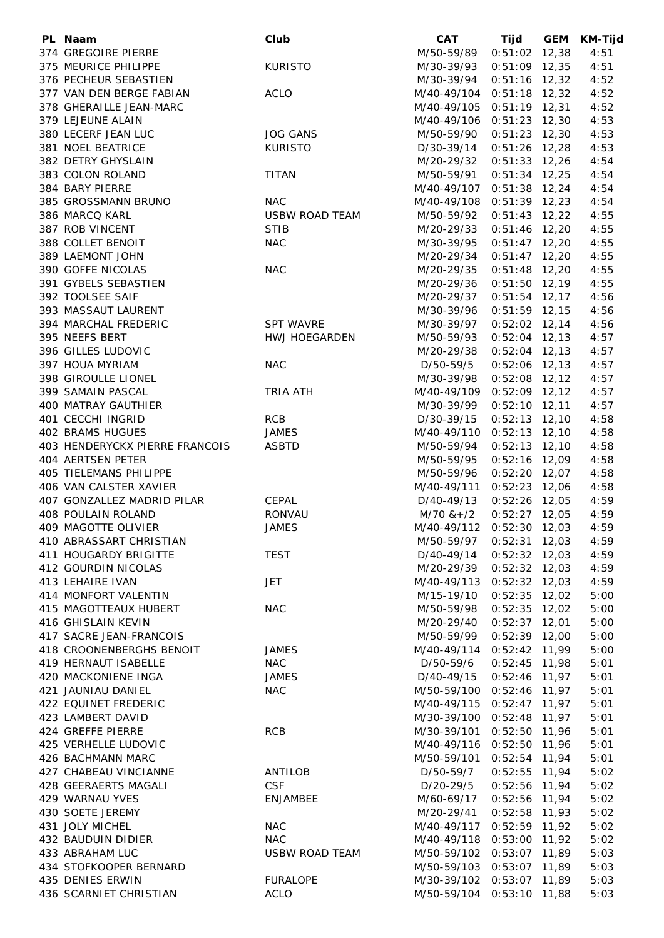| PL Naam                        | Club                  | <b>CAT</b>                | Tijd            | GEM | KM-Tijd |
|--------------------------------|-----------------------|---------------------------|-----------------|-----|---------|
| 374 GREGOIRE PIERRE            |                       | M/50-59/89                | $0:51:02$ 12,38 |     | 4:51    |
| 375 MEURICE PHILIPPE           | <b>KURISTO</b>        | M/30-39/93                | $0:51:09$ 12,35 |     | 4:51    |
| 376 PECHEUR SEBASTIEN          |                       | M/30-39/94                | $0:51:16$ 12,32 |     | 4:52    |
| 377 VAN DEN BERGE FABIAN       | <b>ACLO</b>           | M/40-49/104               | $0:51:18$ 12,32 |     | 4:52    |
| 378 GHERAILLE JEAN-MARC        |                       | M/40-49/105               | $0:51:19$ 12,31 |     | 4:52    |
| 379 LEJEUNE ALAIN              |                       | M/40-49/106               | $0:51:23$ 12,30 |     | 4:53    |
| 380 LECERF JEAN LUC            | <b>JOG GANS</b>       | M/50-59/90                | $0:51:23$ 12,30 |     | 4:53    |
| 381 NOEL BEATRICE              | <b>KURISTO</b>        | D/30-39/14                | $0:51:26$ 12,28 |     | 4:53    |
| 382 DETRY GHYSLAIN             |                       | M/20-29/32                | $0:51:33$ 12,26 |     | 4:54    |
| 383 COLON ROLAND               | <b>TITAN</b>          | M/50-59/91                | $0:51:34$ 12,25 |     | 4:54    |
| 384 BARY PIERRE                |                       | M/40-49/107               | $0:51:38$ 12,24 |     | 4:54    |
| 385 GROSSMANN BRUNO            | <b>NAC</b>            | M/40-49/108               | $0:51:39$ 12,23 |     | 4:54    |
| 386 MARCQ KARL                 | <b>USBW ROAD TEAM</b> | M/50-59/92                | $0:51:43$ 12,22 |     | 4:55    |
| 387 ROB VINCENT                | <b>STIB</b>           | M/20-29/33                | $0:51:46$ 12,20 |     | 4:55    |
| 388 COLLET BENOIT              | <b>NAC</b>            | M/30-39/95                | $0:51:47$ 12,20 |     | 4:55    |
| 389 LAEMONT JOHN               |                       | M/20-29/34                | $0:51:47$ 12,20 |     | 4:55    |
| 390 GOFFE NICOLAS              | <b>NAC</b>            | M/20-29/35                | $0:51:48$ 12,20 |     | 4:55    |
| 391 GYBELS SEBASTIEN           |                       | M/20-29/36                | $0:51:50$ 12,19 |     | 4:55    |
| 392 TOOLSEE SAIF               |                       | M/20-29/37                | $0:51:54$ 12,17 |     | 4:56    |
| 393 MASSAUT LAURENT            |                       | M/30-39/96                | $0:51:59$ 12,15 |     | 4:56    |
| 394 MARCHAL FREDERIC           | <b>SPT WAVRE</b>      | M/30-39/97                | $0:52:02$ 12,14 |     | 4:56    |
| 395 NEEFS BERT                 | HWJ HOEGARDEN         | M/50-59/93                | $0:52:04$ 12,13 |     | 4:57    |
| 396 GILLES LUDOVIC             |                       | M/20-29/38                | $0:52:04$ 12,13 |     | 4:57    |
| 397 HOUA MYRIAM                | <b>NAC</b>            | D/50-59/5                 | $0:52:06$ 12,13 |     | 4:57    |
| 398 GIROULLE LIONEL            |                       | M/30-39/98                | $0:52:08$ 12,12 |     | 4:57    |
| 399 SAMAIN PASCAL              | <b>TRIA ATH</b>       | M/40-49/109 0:52:09 12,12 |                 |     | 4:57    |
| 400 MATRAY GAUTHIER            |                       | M/30-39/99                | $0:52:10$ 12,11 |     | 4:57    |
| 401 CECCHI INGRID              | <b>RCB</b>            | D/30-39/15                | $0:52:13$ 12,10 |     | 4:58    |
| <b>402 BRAMS HUGUES</b>        | <b>JAMES</b>          | M/40-49/110 0:52:13 12,10 |                 |     | 4:58    |
| 403 HENDERYCKX PIERRE FRANCOIS | <b>ASBTD</b>          | M/50-59/94                | $0:52:13$ 12,10 |     | 4:58    |
| 404 AERTSEN PETER              |                       | M/50-59/95                | $0:52:16$ 12,09 |     | 4:58    |
| 405 TIELEMANS PHILIPPE         |                       | M/50-59/96                | $0:52:20$ 12,07 |     | 4:58    |
| 406 VAN CALSTER XAVIER         |                       | M/40-49/111               | $0:52:23$ 12,06 |     | 4:58    |
| 407 GONZALLEZ MADRID PILAR     | CEPAL                 | D/40-49/13                | $0:52:26$ 12,05 |     | 4:59    |
| 408 POULAIN ROLAND             | RONVAU                | $M/70$ & + $/2$           | $0:52:27$ 12,05 |     | 4:59    |
| 409 MAGOTTE OLIVIER            | <b>JAMES</b>          | M/40-49/112 0:52:30 12,03 |                 |     | 4:59    |
| 410 ABRASSART CHRISTIAN        |                       | M/50-59/97                | $0:52:31$ 12,03 |     | 4:59    |
| 411 HOUGARDY BRIGITTE          | <b>TEST</b>           | D/40-49/14                | $0:52:32$ 12,03 |     | 4:59    |
| 412 GOURDIN NICOLAS            |                       | M/20-29/39                | $0:52:32$ 12,03 |     | 4:59    |
| 413 LEHAIRE IVAN               | <b>JET</b>            | M/40-49/113               | $0:52:32$ 12,03 |     | 4:59    |
| 414 MONFORT VALENTIN           |                       | M/15-19/10                | $0:52:35$ 12,02 |     | 5:00    |
| 415 MAGOTTEAUX HUBERT          | <b>NAC</b>            | M/50-59/98                | $0:52:35$ 12,02 |     | 5:00    |
| 416 GHISLAIN KEVIN             |                       | M/20-29/40                | $0:52:37$ 12,01 |     | 5:00    |
| 417 SACRE JEAN-FRANCOIS        |                       | M/50-59/99                | $0:52:39$ 12,00 |     | 5:00    |
| 418 CROONENBERGHS BENOIT       | <b>JAMES</b>          | M/40-49/114               | $0:52:42$ 11,99 |     | 5:00    |
| 419 HERNAUT ISABELLE           | <b>NAC</b>            | D/50-59/6                 | $0:52:45$ 11,98 |     | 5:01    |
| 420 MACKONIENE INGA            | <b>JAMES</b>          | D/40-49/15                | $0:52:46$ 11,97 |     | 5:01    |
| 421 JAUNIAU DANIEL             | <b>NAC</b>            | M/50-59/100 0:52:46 11,97 |                 |     | 5:01    |
| 422 EQUINET FREDERIC           |                       | M/40-49/115               | $0:52:47$ 11,97 |     | 5:01    |
| 423 LAMBERT DAVID              |                       | M/30-39/100 0:52:48 11,97 |                 |     | 5:01    |
| 424 GREFFE PIERRE              | <b>RCB</b>            | M/30-39/101               | $0:52:50$ 11,96 |     | 5:01    |
| 425 VERHELLE LUDOVIC           |                       | M/40-49/116               | $0:52:50$ 11,96 |     | 5:01    |
| 426 BACHMANN MARC              |                       | M/50-59/101               | $0:52:54$ 11,94 |     | 5:01    |
| 427 CHABEAU VINCIANNE          | ANTILOB               | D/50-59/7                 | $0:52:55$ 11,94 |     | 5:02    |
| 428 GEERAERTS MAGALI           | <b>CSF</b>            | D/20-29/5                 | 0:52:56 11,94   |     | 5:02    |
| 429 WARNAU YVES                | <b>ENJAMBEE</b>       | M/60-69/17                | $0:52:56$ 11,94 |     | 5:02    |
| 430 SOETE JEREMY               |                       | M/20-29/41                | $0:52:58$ 11,93 |     | 5:02    |
| 431 JOLY MICHEL                | <b>NAC</b>            | M/40-49/117 0:52:59 11,92 |                 |     | 5:02    |
| 432 BAUDUIN DIDIER             | <b>NAC</b>            | M/40-49/118 0:53:00 11,92 |                 |     | 5:02    |
| 433 ABRAHAM LUC                | <b>USBW ROAD TEAM</b> | M/50-59/102 0:53:07 11,89 |                 |     | 5:03    |
| 434 STOFKOOPER BERNARD         |                       | M/50-59/103 0:53:07 11,89 |                 |     | 5:03    |
| 435 DENIES ERWIN               | <b>FURALOPE</b>       | M/30-39/102 0:53:07 11,89 |                 |     | 5:03    |
| 436 SCARNIET CHRISTIAN         | <b>ACLO</b>           | M/50-59/104 0:53:10 11,88 |                 |     | 5:03    |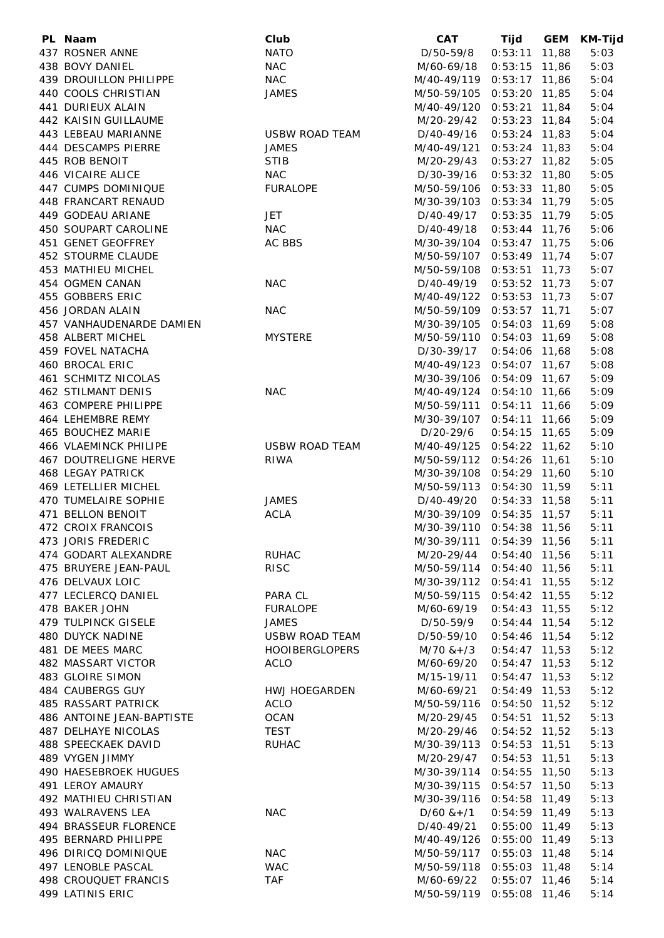| PL Naam                      | Club                  | <b>CAT</b>                  | Tijd            |       | GEM KM-Tijd |
|------------------------------|-----------------------|-----------------------------|-----------------|-------|-------------|
| 437 ROSNER ANNE              | <b>NATO</b>           | D/50-59/8                   | 0:53:11         | 11,88 | 5:03        |
| 438 BOVY DANIEL              | <b>NAC</b>            | M/60-69/18                  | $0:53:15$ 11,86 |       | 5:03        |
| 439 DROUILLON PHILIPPE       | <b>NAC</b>            | M/40-49/119                 | $0:53:17$ 11,86 |       | 5:04        |
| 440 COOLS CHRISTIAN          | <b>JAMES</b>          | M/50-59/105                 | $0:53:20$ 11,85 |       | 5:04        |
| 441 DURIEUX ALAIN            |                       | M/40-49/120                 | 0:53:21         | 11,84 | 5:04        |
| 442 KAISIN GUILLAUME         |                       | M/20-29/42                  | $0:53:23$ 11,84 |       | 5:04        |
| 443 LEBEAU MARIANNE          | <b>USBW ROAD TEAM</b> | D/40-49/16                  | $0:53:24$ 11,83 |       | 5:04        |
| 444 DESCAMPS PIERRE          | <b>JAMES</b>          | M/40-49/121                 | $0:53:24$ 11,83 |       | 5:04        |
| 445 ROB BENOIT               | <b>STIB</b>           | M/20-29/43                  | $0:53:27$ 11,82 |       | 5:05        |
| 446 VICAIRE ALICE            | <b>NAC</b>            | D/30-39/16                  | $0:53:32$ 11,80 |       | 5:05        |
| 447 CUMPS DOMINIQUE          | <b>FURALOPE</b>       | M/50-59/106                 | $0:53:33$ 11,80 |       | 5:05        |
| 448 FRANCART RENAUD          |                       | M/30-39/103                 | $0:53:34$ 11,79 |       | 5:05        |
| 449 GODEAU ARIANE            | JET                   | D/40-49/17                  | $0:53:35$ 11,79 |       | 5:05        |
| 450 SOUPART CAROLINE         | <b>NAC</b>            | D/40-49/18                  | $0:53:44$ 11,76 |       | 5:06        |
| 451 GENET GEOFFREY           | AC BBS                | M/30-39/104                 | $0:53:47$ 11,75 |       | 5:06        |
| 452 STOURME CLAUDE           |                       | M/50-59/107                 | $0:53:49$ 11,74 |       | 5:07        |
| 453 MATHIEU MICHEL           |                       | M/50-59/108                 | $0:53:51$ 11,73 |       | 5:07        |
| 454 OGMEN CANAN              | <b>NAC</b>            | D/40-49/19                  | $0:53:52$ 11,73 |       | 5:07        |
| 455 GOBBERS ERIC             |                       |                             |                 |       |             |
|                              |                       | M/40-49/122 0:53:53 11,73   |                 |       | 5:07        |
| 456 JORDAN ALAIN             | <b>NAC</b>            | M/50-59/109                 | $0:53:57$ 11,71 |       | 5:07        |
| 457 VANHAUDENARDE DAMIEN     |                       | M/30-39/105                 | $0:54:03$ 11,69 |       | 5:08        |
| 458 ALBERT MICHEL            | <b>MYSTERE</b>        | M/50-59/110 0:54:03 11,69   |                 |       | 5:08        |
| 459 FOVEL NATACHA            |                       | D/30-39/17                  | $0:54:06$ 11,68 |       | 5:08        |
| 460 BROCAL ERIC              |                       | M/40-49/123 0:54:07 11,67   |                 |       | 5:08        |
| 461 SCHMITZ NICOLAS          |                       | M/30-39/106 0:54:09 11,67   |                 |       | 5:09        |
| <b>462 STILMANT DENIS</b>    | <b>NAC</b>            | M/40-49/124 0:54:10 11,66   |                 |       | 5:09        |
| 463 COMPERE PHILIPPE         |                       | M/50-59/111 0:54:11 11,66   |                 |       | 5:09        |
| 464 LEHEMBRE REMY            |                       | M/30-39/107 0:54:11 11,66   |                 |       | 5:09        |
| 465 BOUCHEZ MARIE            |                       | D/20-29/6                   | $0:54:15$ 11,65 |       | 5:09        |
| 466 VLAEMINCK PHILIPE        | <b>USBW ROAD TEAM</b> | M/40-49/125 0:54:22 11,62   |                 |       | 5:10        |
| <b>467 DOUTRELIGNE HERVE</b> | <b>RIWA</b>           | M/50-59/112 0:54:26 11,61   |                 |       | 5:10        |
| <b>468 LEGAY PATRICK</b>     |                       | M/30-39/108 0:54:29 11,60   |                 |       | 5:10        |
| 469 LETELLIER MICHEL         |                       | M/50-59/113 0:54:30 11,59   |                 |       | 5:11        |
| 470 TUMELAIRE SOPHIE         | <b>JAMES</b>          | D/40-49/20                  | $0:54:33$ 11,58 |       | 5:11        |
| 471 BELLON BENOIT            | <b>ACLA</b>           | M/30-39/109                 | $0:54:35$ 11,57 |       | 5:11        |
| 472 CROIX FRANCOIS           |                       | M/30-39/110                 | $0:54:38$ 11,56 |       | 5:11        |
| 473 JORIS FREDERIC           |                       | M/30-39/111 0:54:39 11,56   |                 |       | 5:11        |
| 474 GODART ALEXANDRE         | <b>RUHAC</b>          | M/20-29/44                  | $0:54:40$ 11,56 |       | 5:11        |
| 475 BRUYERE JEAN-PAUL        | <b>RISC</b>           | M/50-59/114                 | $0:54:40$ 11,56 |       | 5:11        |
| 476 DELVAUX LOIC             |                       | M/30-39/112                 | $0:54:41$ 11,55 |       | 5:12        |
| 477 LECLERCQ DANIEL          | PARA CL               | M/50-59/115                 | $0:54:42$ 11,55 |       | 5:12        |
| 478 BAKER JOHN               | <b>FURALOPE</b>       | M/60-69/19                  | $0:54:43$ 11,55 |       | 5:12        |
| 479 TULPINCK GISELE          | <b>JAMES</b>          | D/50-59/9                   | $0:54:44$ 11,54 |       | 5:12        |
| 480 DUYCK NADINE             | USBW ROAD TEAM        | D/50-59/10                  | $0:54:46$ 11,54 |       | 5:12        |
| 481 DE MEES MARC             | <b>HOOIBERGLOPERS</b> | M/70 &+/3                   | $0:54:47$ 11,53 |       | 5:12        |
| 482 MASSART VICTOR           | <b>ACLO</b>           | M/60-69/20                  | $0:54:47$ 11,53 |       | 5:12        |
| 483 GLOIRE SIMON             |                       | M/15-19/11                  | $0:54:47$ 11,53 |       | 5:12        |
| 484 CAUBERGS GUY             | <b>HWJ HOEGARDEN</b>  | M/60-69/21                  | $0:54:49$ 11,53 |       | 5:12        |
| 485 RASSART PATRICK          | <b>ACLO</b>           | M/50-59/116 0:54:50 11,52   |                 |       | 5:12        |
| 486 ANTOINE JEAN-BAPTISTE    | <b>OCAN</b>           | M/20-29/45                  | $0:54:51$ 11,52 |       | 5:13        |
| <b>487 DELHAYE NICOLAS</b>   | <b>TEST</b>           | M/20-29/46                  | $0:54:52$ 11,52 |       | 5:13        |
| 488 SPEECKAEK DAVID          | <b>RUHAC</b>          | M/30-39/113 0:54:53 11,51   |                 |       | 5:13        |
| 489 VYGEN JIMMY              |                       | M/20-29/47                  | $0:54:53$ 11,51 |       | 5:13        |
| 490 HAESEBROEK HUGUES        |                       | M/30-39/114                 | $0:54:55$ 11,50 |       | 5:13        |
| 491 LEROY AMAURY             |                       | M/30-39/115 0:54:57 11,50   |                 |       | 5:13        |
| 492 MATHIEU CHRISTIAN        |                       | M/30-39/116  0:54:58  11,49 |                 |       | 5:13        |
| 493 WALRAVENS LEA            | <b>NAC</b>            | $D/60$ & +/1                | $0:54:59$ 11,49 |       | 5:13        |
| 494 BRASSEUR FLORENCE        |                       | D/40-49/21                  | $0:55:00$ 11,49 |       | 5:13        |
| 495 BERNARD PHILIPPE         |                       | M/40-49/126 0:55:00 11,49   |                 |       | 5:13        |
| 496 DIRICQ DOMINIQUE         | <b>NAC</b>            | M/50-59/117 0:55:03 11,48   |                 |       | 5:14        |
| 497 LENOBLE PASCAL           | <b>WAC</b>            | M/50-59/118 0:55:03 11,48   |                 |       | 5:14        |
| 498 CROUQUET FRANCIS         | <b>TAF</b>            | M/60-69/22 0:55:07 11,46    |                 |       | 5:14        |
| 499 LATINIS ERIC             |                       | M/50-59/119 0:55:08 11,46   |                 |       | 5:14        |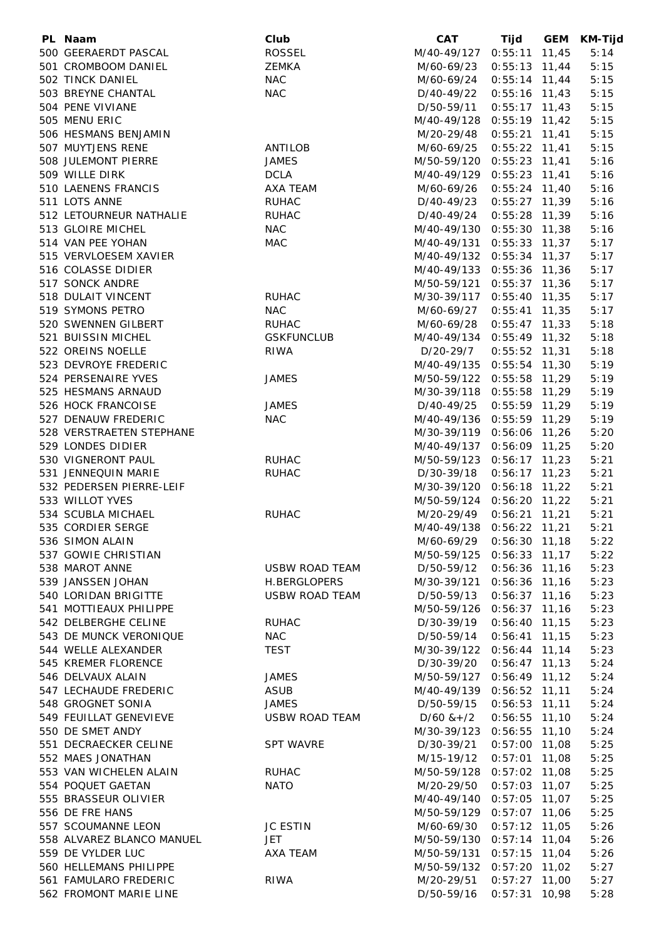| PL Naam                   | Club                  | <b>CAT</b>                 | Tijd            | GEM KM-Tijd |
|---------------------------|-----------------------|----------------------------|-----------------|-------------|
| 500 GEERAERDT PASCAL      | <b>ROSSEL</b>         | M/40-49/127 0:55:11 11,45  |                 | 5:14        |
| 501 CROMBOOM DANIEL       | <b>ZEMKA</b>          | M/60-69/23                 | $0:55:13$ 11,44 | 5:15        |
| 502 TINCK DANIEL          | <b>NAC</b>            | M/60-69/24                 | $0:55:14$ 11,44 | 5:15        |
| 503 BREYNE CHANTAL        | <b>NAC</b>            | D/40-49/22                 | $0:55:16$ 11,43 | 5:15        |
| 504 PENE VIVIANE          |                       | D/50-59/11                 | $0:55:17$ 11,43 | 5:15        |
| 505 MENU ERIC             |                       | M/40-49/128 0:55:19 11,42  |                 | 5:15        |
|                           |                       |                            |                 |             |
| 506 HESMANS BENJAMIN      |                       | M/20-29/48                 | $0:55:21$ 11,41 | 5:15        |
| 507 MUYTJENS RENE         | ANTILOB               | M/60-69/25                 | $0:55:22$ 11,41 | 5:15        |
| 508 JULEMONT PIERRE       | <b>JAMES</b>          | M/50-59/120 0:55:23 11,41  |                 | 5:16        |
| 509 WILLE DIRK            | <b>DCLA</b>           | M/40-49/129 0:55:23 11,41  |                 | 5:16        |
| 510 LAENENS FRANCIS       | AXA TEAM              | M/60-69/26                 | $0:55:24$ 11,40 | 5:16        |
| 511 LOTS ANNE             | <b>RUHAC</b>          | D/40-49/23                 | $0:55:27$ 11,39 | 5:16        |
| 512 LETOURNEUR NATHALIE   | <b>RUHAC</b>          | D/40-49/24                 | $0:55:28$ 11,39 | 5:16        |
| 513 GLOIRE MICHEL         | <b>NAC</b>            | M/40-49/130 0:55:30 11,38  |                 | 5:16        |
| 514 VAN PEE YOHAN         | MAC                   | M/40-49/131 0:55:33 11,37  |                 | 5:17        |
| 515 VERVLOESEM XAVIER     |                       | M/40-49/132 0:55:34 11,37  |                 | 5:17        |
| 516 COLASSE DIDIER        |                       | M/40-49/133 0:55:36 11,36  |                 | 5:17        |
| 517 SONCK ANDRE           |                       | M/50-59/121 0:55:37 11,36  |                 | 5:17        |
| 518 DULAIT VINCENT        | <b>RUHAC</b>          | M/30-39/117 0:55:40 11,35  |                 | 5:17        |
| 519 SYMONS PETRO          | <b>NAC</b>            | M/60-69/27                 | $0:55:41$ 11,35 | 5:17        |
| 520 SWENNEN GILBERT       | <b>RUHAC</b>          | M/60-69/28                 | $0:55:47$ 11,33 | 5:18        |
| 521 BUISSIN MICHEL        | <b>GSKFUNCLUB</b>     | M/40-49/134 0:55:49 11,32  |                 | 5:18        |
| 522 OREINS NOELLE         | RIWA                  | D/20-29/7                  | $0:55:52$ 11,31 | 5:18        |
| 523 DEVROYE FREDERIC      |                       |                            |                 | 5:19        |
|                           |                       | M/40-49/135 0:55:54 11,30  |                 |             |
| 524 PERSENAIRE YVES       | <b>JAMES</b>          | M/50-59/122 0:55:58 11,29  |                 | 5:19        |
| 525 HESMANS ARNAUD        |                       | M/30-39/118 0:55:58 11,29  |                 | 5:19        |
| 526 HOCK FRANCOISE        | <b>JAMES</b>          | D/40-49/25                 | $0:55:59$ 11,29 | 5:19        |
| 527 DENAUW FREDERIC       | <b>NAC</b>            | M/40-49/136 0:55:59 11,29  |                 | 5:19        |
| 528 VERSTRAETEN STEPHANE  |                       | M/30-39/119 0:56:06 11,26  |                 | 5:20        |
| 529 LONDES DIDIER         |                       | M/40-49/137 0:56:09 11,25  |                 | 5:20        |
| 530 VIGNERONT PAUL        | <b>RUHAC</b>          | M/50-59/123 0:56:17 11,23  |                 | 5:21        |
| 531 JENNEQUIN MARIE       | <b>RUHAC</b>          | D/30-39/18  0:56:17  11,23 |                 | 5:21        |
| 532 PEDERSEN PIERRE-LEIF  |                       | M/30-39/120 0:56:18 11,22  |                 | 5:21        |
| 533 WILLOT YVES           |                       | M/50-59/124 0:56:20 11,22  |                 | 5:21        |
| 534 SCUBLA MICHAEL        | <b>RUHAC</b>          | M/20-29/49                 | $0:56:21$ 11,21 | 5:21        |
| 535 CORDIER SERGE         |                       | M/40-49/138 0:56:22 11,21  |                 | 5:21        |
| 536 SIMON ALAIN           |                       | M/60-69/29  0:56:30  11,18 |                 | 5:22        |
| 537 GOWIE CHRISTIAN       |                       | M/50-59/125 0:56:33 11,17  |                 | 5:22        |
| 538 MAROT ANNE            | USBW ROAD TEAM        | D/50-59/12                 | $0:56:36$ 11,16 | 5:23        |
| 539 JANSSEN JOHAN         | H.BERGLOPERS          | M/30-39/121                | $0:56:36$ 11,16 | 5:23        |
| 540 LORIDAN BRIGITTE      | <b>USBW ROAD TEAM</b> | D/50-59/13                 | $0:56:37$ 11,16 | 5:23        |
| 541 MOTTIEAUX PHILIPPE    |                       | M/50-59/126                | $0:56:37$ 11,16 | 5:23        |
| 542 DELBERGHE CELINE      | <b>RUHAC</b>          | D/30-39/19                 | $0:56:40$ 11,15 | 5:23        |
| 543 DE MUNCK VERONIQUE    | <b>NAC</b>            | D/50-59/14                 | $0:56:41$ 11,15 | 5:23        |
| 544 WELLE ALEXANDER       | <b>TEST</b>           | M/30-39/122                | $0:56:44$ 11,14 | 5:23        |
| 545 KREMER FLORENCE       |                       | D/30-39/20                 | $0:56:47$ 11,13 | 5:24        |
| 546 DELVAUX ALAIN         | <b>JAMES</b>          | M/50-59/127                | $0:56:49$ 11,12 | 5:24        |
| 547 LECHAUDE FREDERIC     | <b>ASUB</b>           | M/40-49/139                | $0:56:52$ 11,11 | 5:24        |
| 548 GROGNET SONIA         | <b>JAMES</b>          | D/50-59/15                 | $0:56:53$ 11,11 | 5:24        |
| 549 FEUILLAT GENEVIEVE    |                       |                            | $0:56:55$ 11,10 | 5:24        |
|                           | USBW ROAD TEAM        | $D/60$ & + $/2$            |                 |             |
| 550 DE SMET ANDY          |                       | M/30-39/123 0:56:55 11,10  |                 | 5:24        |
| 551 DECRAECKER CELINE     | <b>SPT WAVRE</b>      | D/30-39/21                 | $0:57:00$ 11,08 | 5:25        |
| 552 MAES JONATHAN         |                       | M/15-19/12                 | $0:57:01$ 11,08 | 5:25        |
| 553 VAN WICHELEN ALAIN    | <b>RUHAC</b>          | M/50-59/128                | $0:57:02$ 11,08 | 5:25        |
| 554 POQUET GAETAN         | <b>NATO</b>           | M/20-29/50                 | $0:57:03$ 11,07 | 5:25        |
| 555 BRASSEUR OLIVIER      |                       | M/40-49/140                | $0:57:05$ 11,07 | 5:25        |
| 556 DE FRE HANS           |                       | M/50-59/129                | $0:57:07$ 11,06 | 5:25        |
| 557 SCOUMANNE LEON        | <b>JC ESTIN</b>       | M/60-69/30                 | $0:57:12$ 11,05 | 5:26        |
| 558 ALVAREZ BLANCO MANUEL | JET                   | M/50-59/130 0:57:14 11,04  |                 | 5:26        |
| 559 DE VYLDER LUC         | AXA TEAM              | M/50-59/131                | $0:57:15$ 11,04 | 5:26        |
| 560 HELLEMANS PHILIPPE    |                       | M/50-59/132 0:57:20 11,02  |                 | 5:27        |
| 561 FAMULARO FREDERIC     | <b>RIWA</b>           | M/20-29/51                 | $0:57:27$ 11,00 | 5:27        |
| 562 FROMONT MARIE LINE    |                       | D/50-59/16  0:57:31  10,98 |                 | 5:28        |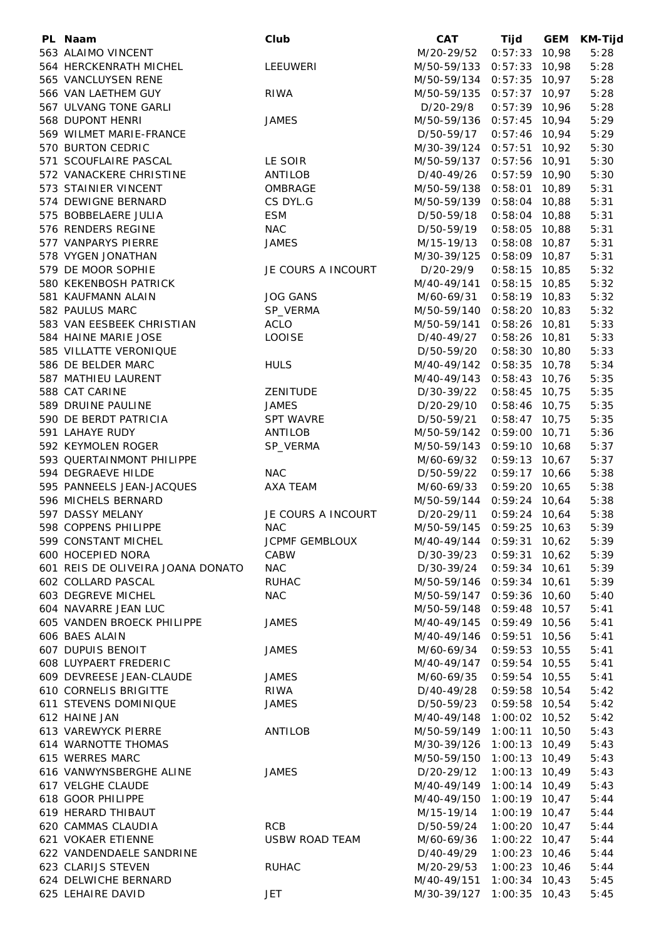| PL Naam                                        | Club                    | <b>CAT</b>                 | Tijd                               | <b>GEM</b> | <b>KM-Tijd</b> |
|------------------------------------------------|-------------------------|----------------------------|------------------------------------|------------|----------------|
| 563 ALAIMO VINCENT                             |                         | M/20-29/52                 | $0:57:33$ 10,98                    |            | 5:28           |
| 564 HERCKENRATH MICHEL                         | LEEUWERI                | M/50-59/133                | $0:57:33$ 10,98                    |            | 5:28           |
| 565 VANCLUYSEN RENE                            |                         | M/50-59/134                | $0:57:35$ 10,97                    |            | 5:28           |
| 566 VAN LAETHEM GUY                            | <b>RIWA</b>             | M/50-59/135                | $0:57:37$ 10,97                    |            | 5:28           |
| 567 ULVANG TONE GARLI                          |                         | D/20-29/8                  | $0:57:39$ 10,96                    |            | 5:28           |
| 568 DUPONT HENRI                               | <b>JAMES</b>            | M/50-59/136                | $0:57:45$ 10,94                    |            | 5:29           |
| 569 WILMET MARIE-FRANCE                        |                         | D/50-59/17                 | $0:57:46$ 10,94                    |            | 5:29           |
| 570 BURTON CEDRIC                              |                         | M/30-39/124                | $0:57:51$ 10,92                    |            | 5:30           |
| 571 SCOUFLAIRE PASCAL                          | LE SOIR                 | M/50-59/137                | $0:57:56$ 10,91                    |            | 5:30           |
| 572 VANACKERE CHRISTINE                        | ANTILOB                 | D/40-49/26                 | $0:57:59$ 10,90                    |            | 5:30           |
| 573 STAINIER VINCENT                           | OMBRAGE                 | M/50-59/138                | $0:58:01$ 10,89                    |            | 5:31           |
| 574 DEWIGNE BERNARD                            | CS DYL.G                | M/50-59/139                | $0:58:04$ 10,88                    |            | 5:31           |
| 575 BOBBELAERE JULIA                           | <b>ESM</b>              | D/50-59/18                 | $0:58:04$ 10,88                    |            | 5:31           |
| 576 RENDERS REGINE                             | <b>NAC</b>              | D/50-59/19                 | $0:58:05$ 10,88                    |            | 5:31           |
| 577 VANPARYS PIERRE                            | <b>JAMES</b>            | M/15-19/13                 | $0:58:08$ 10,87                    |            | 5:31           |
| 578 VYGEN JONATHAN                             |                         | M/30-39/125                | $0:58:09$ 10,87                    |            | 5:31           |
| 579 DE MOOR SOPHIE                             | JE COURS A INCOURT      | D/20-29/9                  | $0:58:15$ 10,85                    |            | 5:32           |
| 580 KEKENBOSH PATRICK                          |                         | M/40-49/141 0:58:15 10,85  |                                    |            | 5:32           |
| 581 KAUFMANN ALAIN                             | <b>JOG GANS</b>         | M/60-69/31                 | $0:58:19$ 10,83                    |            | 5:32           |
| 582 PAULUS MARC<br>583 VAN EESBEEK CHRISTIAN   | SP_VERMA<br><b>ACLO</b> | M/50-59/140<br>M/50-59/141 | $0:58:20$ 10,83                    |            | 5:32<br>5:33   |
|                                                |                         |                            | $0:58:26$ 10,81<br>$0:58:26$ 10,81 |            | 5:33           |
| 584 HAINE MARIE JOSE<br>585 VILLATTE VERONIQUE | LOOISE                  | D/40-49/27<br>D/50-59/20   | $0:58:30$ 10,80                    |            | 5:33           |
| 586 DE BELDER MARC                             | <b>HULS</b>             | M/40-49/142 0:58:35 10,78  |                                    |            | 5:34           |
| 587 MATHIEU LAURENT                            |                         | M/40-49/143 0:58:43 10,76  |                                    |            | 5:35           |
| 588 CAT CARINE                                 | ZENITUDE                | D/30-39/22                 | $0:58:45$ 10,75                    |            | 5:35           |
| 589 DRUINE PAULINE                             | <b>JAMES</b>            | D/20-29/10                 | $0:58:46$ 10,75                    |            | 5:35           |
| 590 DE BERDT PATRICIA                          | <b>SPT WAVRE</b>        | D/50-59/21                 | $0:58:47$ 10,75                    |            | 5:35           |
| 591 LAHAYE RUDY                                | ANTILOB                 | M/50-59/142                | $0:59:00$ 10,71                    |            | 5:36           |
| 592 KEYMOLEN ROGER                             | SP_VERMA                | M/50-59/143                | $0:59:10$ 10,68                    |            | 5:37           |
| 593 QUERTAINMONT PHILIPPE                      |                         | M/60-69/32                 | $0:59:13$ 10,67                    |            | 5:37           |
| 594 DEGRAEVE HILDE                             | <b>NAC</b>              | D/50-59/22                 | $0:59:17$ 10,66                    |            | 5:38           |
| 595 PANNEELS JEAN-JACQUES                      | AXA TEAM                | M/60-69/33                 | $0:59:20$ 10,65                    |            | 5:38           |
| 596 MICHELS BERNARD                            |                         | M/50-59/144                | $0:59:24$ 10,64                    |            | 5:38           |
| 597 DASSY MELANY                               | JE COURS A INCOURT      | D/20-29/11                 | $0:59:24$ 10,64                    |            | 5:38           |
| 598 COPPENS PHILIPPE                           | <b>NAC</b>              | M/50-59/145                | $0:59:25$ 10,63                    |            | 5:39           |
| 599 CONSTANT MICHEL                            | <b>JCPMF GEMBLOUX</b>   | M/40-49/144 0:59:31 10,62  |                                    |            | 5:39           |
| 600 HOCEPIED NORA                              | CABW                    | D/30-39/23                 | $0:59:31$ 10,62                    |            | 5:39           |
| 601 REIS DE OLIVEIRA JOANA DONATO              | <b>NAC</b>              | D/30-39/24                 | $0:59:34$ 10,61                    |            | 5:39           |
| 602 COLLARD PASCAL                             | <b>RUHAC</b>            | M/50-59/146                | $0:59:34$ 10,61                    |            | 5:39           |
| 603 DEGREVE MICHEL                             | <b>NAC</b>              | M/50-59/147                | $0:59:36$ 10,60                    |            | 5:40           |
| 604 NAVARRE JEAN LUC                           |                         | M/50-59/148                | $0:59:48$ 10,57                    |            | 5:41           |
| 605 VANDEN BROECK PHILIPPE                     | <b>JAMES</b>            | M/40-49/145                | $0:59:49$ 10,56                    |            | 5:41           |
| 606 BAES ALAIN                                 |                         | M/40-49/146                | $0:59:51$ 10,56                    |            | 5:41           |
| 607 DUPUIS BENOIT                              | <b>JAMES</b>            | M/60-69/34                 | $0:59:53$ 10,55                    |            | 5:41           |
| 608 LUYPAERT FREDERIC                          |                         | M/40-49/147                | $0:59:54$ 10,55                    |            | 5:41           |
| 609 DEVREESE JEAN-CLAUDE                       | <b>JAMES</b>            | M/60-69/35                 | $0:59:54$ 10,55                    |            | 5:41           |
| 610 CORNELIS BRIGITTE                          | RIWA                    | D/40-49/28                 | $0:59:58$ 10,54                    |            | 5:42           |
| 611 STEVENS DOMINIQUE                          | <b>JAMES</b>            | D/50-59/23                 | $0:59:58$ 10,54                    |            | 5:42           |
| 612 HAINE JAN                                  |                         | M/40-49/148                | 1:00:02 10,52                      |            | 5:42           |
| 613 VAREWYCK PIERRE                            | ANTILOB                 | M/50-59/149                | $1:00:11$ $10,50$                  |            | 5:43           |
| 614 WARNOTTE THOMAS                            |                         | M/30-39/126                | $1:00:13$ 10,49                    |            | 5:43           |
| 615 WERRES MARC                                |                         | M/50-59/150                | $1:00:13$ 10,49                    |            | 5:43           |
| 616 VANWYNSBERGHE ALINE                        | <b>JAMES</b>            | D/20-29/12                 | $1:00:13$ 10,49                    |            | 5:43           |
| 617 VELGHE CLAUDE<br>618 GOOR PHILIPPE         |                         | M/40-49/149                | $1:00:14$ 10,49<br>$1:00:19$ 10,47 |            | 5:43           |
|                                                |                         | M/40-49/150                |                                    |            | 5:44           |
| 619 HERARD THIBAUT<br>620 CAMMAS CLAUDIA       | <b>RCB</b>              | M/15-19/14<br>D/50-59/24   | $1:00:19$ 10,47<br>$1:00:20$ 10,47 |            | 5:44<br>5:44   |
| 621 VOKAER ETIENNE                             | USBW ROAD TEAM          | M/60-69/36                 | $1:00:22$ 10,47                    |            | 5:44           |
| 622 VANDENDAELE SANDRINE                       |                         | D/40-49/29                 | $1:00:23$ 10,46                    |            | 5:44           |
| 623 CLARIJS STEVEN                             | <b>RUHAC</b>            | M/20-29/53                 | $1:00:23$ 10,46                    |            | 5:44           |
| 624 DELWICHE BERNARD                           |                         | M/40-49/151                | $1:00:34$ 10,43                    |            | 5:45           |
| 625 LEHAIRE DAVID                              | JET                     | M/30-39/127                | $1:00:35$ 10,43                    |            | 5:45           |
|                                                |                         |                            |                                    |            |                |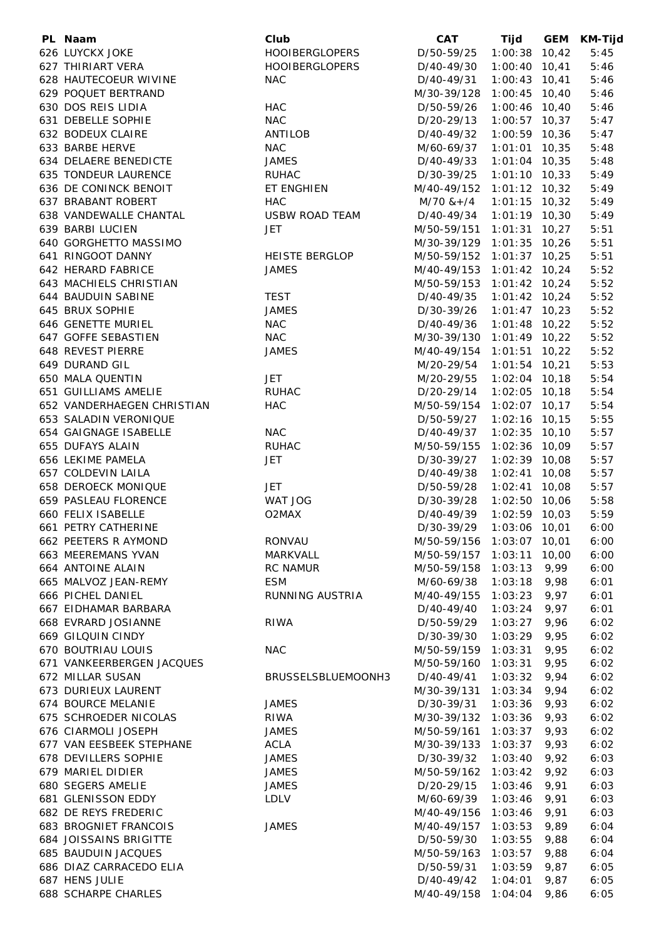| PL Naam                    | Club                  | <b>CAT</b>                | Tijd            |       | GEM KM-Tijd |
|----------------------------|-----------------------|---------------------------|-----------------|-------|-------------|
| 626 LUYCKX JOKE            | <b>HOOIBERGLOPERS</b> | D/50-59/25                | $1:00:38$ 10,42 |       | 5:45        |
| 627 THIRIART VERA          | <b>HOOIBERGLOPERS</b> | D/40-49/30                | $1:00:40$ 10,41 |       | 5:46        |
| 628 HAUTECOEUR WIVINE      | <b>NAC</b>            | D/40-49/31                | $1:00:43$ 10,41 |       | 5:46        |
| 629 POQUET BERTRAND        |                       | M/30-39/128               | $1:00:45$ 10,40 |       | 5:46        |
| 630 DOS REIS LIDIA         | HAC                   | D/50-59/26                | $1:00:46$ 10,40 |       | 5:46        |
|                            |                       |                           |                 |       |             |
| 631 DEBELLE SOPHIE         | <b>NAC</b>            | D/20-29/13                | $1:00:57$ 10,37 |       | 5:47        |
| 632 BODEUX CLAIRE          | ANTILOB               | D/40-49/32                | $1:00:59$ 10,36 |       | 5:47        |
| 633 BARBE HERVE            | <b>NAC</b>            | M/60-69/37                | $1:01:01$ 10,35 |       | 5:48        |
| 634 DELAERE BENEDICTE      | <b>JAMES</b>          | D/40-49/33                | $1:01:04$ 10,35 |       | 5:48        |
| 635 TONDEUR LAURENCE       | <b>RUHAC</b>          | D/30-39/25                | $1:01:10$ 10,33 |       | 5:49        |
| 636 DE CONINCK BENOIT      | ET ENGHIEN            | M/40-49/152               | $1:01:12$ 10,32 |       | 5:49        |
| 637 BRABANT ROBERT         | HAC                   | $M/70$ &+/4               | $1:01:15$ 10,32 |       | 5:49        |
| 638 VANDEWALLE CHANTAL     | <b>USBW ROAD TEAM</b> | D/40-49/34                | $1:01:19$ 10,30 |       | 5:49        |
| 639 BARBI LUCIEN           | <b>JET</b>            | M/50-59/151               | $1:01:31$ 10,27 |       | 5:51        |
| 640 GORGHETTO MASSIMO      |                       | M/30-39/129               | $1:01:35$ 10,26 |       | 5:51        |
| 641 RINGOOT DANNY          | <b>HEISTE BERGLOP</b> | M/50-59/152               | $1:01:37$ 10,25 |       | 5:51        |
|                            |                       |                           |                 |       |             |
| 642 HERARD FABRICE         | <b>JAMES</b>          | M/40-49/153               | $1:01:42$ 10,24 |       | 5:52        |
| 643 MACHIELS CHRISTIAN     |                       | M/50-59/153               | $1:01:42$ 10,24 |       | 5:52        |
| 644 BAUDUIN SABINE         | <b>TEST</b>           | D/40-49/35                | $1:01:42$ 10,24 |       | 5:52        |
| 645 BRUX SOPHIE            | <b>JAMES</b>          | D/30-39/26                | $1:01:47$ 10,23 |       | 5:52        |
| 646 GENETTE MURIEL         | <b>NAC</b>            | D/40-49/36                | $1:01:48$ 10,22 |       | 5:52        |
| 647 GOFFE SEBASTIEN        | <b>NAC</b>            | M/30-39/130               | $1:01:49$ 10,22 |       | 5:52        |
| 648 REVEST PIERRE          | <b>JAMES</b>          | M/40-49/154               | $1:01:51$ 10,22 |       | 5:52        |
| 649 DURAND GIL             |                       | M/20-29/54                | $1:01:54$ 10,21 |       | 5:53        |
| 650 MALA QUENTIN           | <b>JET</b>            | M/20-29/55                | $1:02:04$ 10,18 |       | 5:54        |
| 651 GUILLIAMS AMELIE       | <b>RUHAC</b>          | D/20-29/14                | $1:02:05$ 10,18 |       | 5:54        |
|                            |                       |                           |                 |       |             |
| 652 VANDERHAEGEN CHRISTIAN | <b>HAC</b>            | M/50-59/154               | $1:02:07$ 10,17 |       | 5:54        |
| 653 SALADIN VERONIQUE      |                       | D/50-59/27                | $1:02:16$ 10,15 |       | 5:55        |
| 654 GAIGNAGE ISABELLE      | <b>NAC</b>            | D/40-49/37                | $1:02:35$ 10,10 |       | 5:57        |
| 655 DUFAYS ALAIN           | <b>RUHAC</b>          | M/50-59/155               | $1:02:36$ 10,09 |       | 5:57        |
| 656 LEKIME PAMELA          | <b>JET</b>            | D/30-39/27                | $1:02:39$ 10,08 |       | 5:57        |
| 657 COLDEVIN LAILA         |                       | D/40-49/38                | $1:02:41$ 10,08 |       | 5:57        |
| <b>658 DEROECK MONIQUE</b> | <b>JET</b>            | D/50-59/28                | $1:02:41$ 10,08 |       | 5:57        |
| 659 PASLEAU FLORENCE       | WAT JOG               | D/30-39/28                | $1:02:50$ 10,06 |       | 5:58        |
| 660 FELIX ISABELLE         | O2MAX                 | D/40-49/39                | $1:02:59$ 10,03 |       | 5:59        |
| 661 PETRY CATHERINE        |                       | D/30-39/29                | 1:03:06 10,01   |       | 6:00        |
| 662 PEETERS R AYMOND       | RONVAU                | M/50-59/156 1:03:07 10,01 |                 |       | 6:00        |
| 663 MEEREMANS YVAN         | MARKVALL              |                           | 1:03:11         |       |             |
|                            |                       | M/50-59/157               |                 | 10,00 | 6:00        |
| 664 ANTOINE ALAIN          | <b>RC NAMUR</b>       | M/50-59/158               | 1:03:13         | 9,99  | 6:00        |
| 665 MALVOZ JEAN-REMY       | <b>ESM</b>            | M/60-69/38                | 1:03:18         | 9,98  | 6:01        |
| 666 PICHEL DANIEL          | RUNNING AUSTRIA       | M/40-49/155               | 1:03:23         | 9,97  | 6:01        |
| 667 EIDHAMAR BARBARA       |                       | D/40-49/40                | 1:03:24         | 9,97  | 6:01        |
| 668 EVRARD JOSIANNE        | RIWA                  | D/50-59/29                | 1:03:27         | 9,96  | 6:02        |
| 669 GILQUIN CINDY          |                       | D/30-39/30                | 1:03:29         | 9,95  | 6:02        |
| 670 BOUTRIAU LOUIS         | <b>NAC</b>            | M/50-59/159               | 1:03:31         | 9,95  | 6:02        |
| 671 VANKEERBERGEN JACQUES  |                       | M/50-59/160               | 1:03:31         | 9,95  | 6:02        |
| 672 MILLAR SUSAN           | BRUSSELSBLUEMOONH3    | D/40-49/41                | 1:03:32         | 9,94  | 6:02        |
| 673 DURIEUX LAURENT        |                       | M/30-39/131               | 1:03:34         | 9,94  | 6:02        |
| 674 BOURCE MELANIE         | <b>JAMES</b>          | D/30-39/31                | 1:03:36         | 9,93  | 6:02        |
|                            |                       |                           |                 |       |             |
| 675 SCHROEDER NICOLAS      | RIWA                  | M/30-39/132               | 1:03:36         | 9,93  | 6:02        |
| 676 CIARMOLI JOSEPH        | <b>JAMES</b>          | M/50-59/161               | 1:03:37         | 9,93  | 6:02        |
| 677 VAN EESBEEK STEPHANE   | ACLA                  | M/30-39/133               | 1:03:37         | 9,93  | 6:02        |
| 678 DEVILLERS SOPHIE       | <b>JAMES</b>          | D/30-39/32                | 1:03:40         | 9,92  | 6:03        |
| 679 MARIEL DIDIER          | <b>JAMES</b>          | M/50-59/162               | 1:03:42         | 9,92  | 6:03        |
| 680 SEGERS AMELIE          | <b>JAMES</b>          | D/20-29/15                | 1:03:46         | 9,91  | 6:03        |
| 681 GLENISSON EDDY         | <b>LDLV</b>           | M/60-69/39                | 1:03:46         | 9,91  | 6:03        |
| 682 DE REYS FREDERIC       |                       | M/40-49/156               | 1:03:46         | 9,91  | 6:03        |
| 683 BROGNIET FRANCOIS      | <b>JAMES</b>          | M/40-49/157               | 1:03:53         | 9,89  | 6:04        |
| 684 JOISSAINS BRIGITTE     |                       | D/50-59/30                | 1:03:55         | 9,88  | 6:04        |
| 685 BAUDUIN JACQUES        |                       | M/50-59/163               | 1:03:57         | 9,88  | 6:04        |
| 686 DIAZ CARRACEDO ELIA    |                       | D/50-59/31                | 1:03:59         | 9,87  |             |
|                            |                       |                           |                 |       | 6:05        |
| 687 HENS JULIE             |                       | D/40-49/42                | 1:04:01         | 9,87  | 6:05        |
| <b>688 SCHARPE CHARLES</b> |                       | M/40-49/158               | 1:04:04         | 9,86  | 6:05        |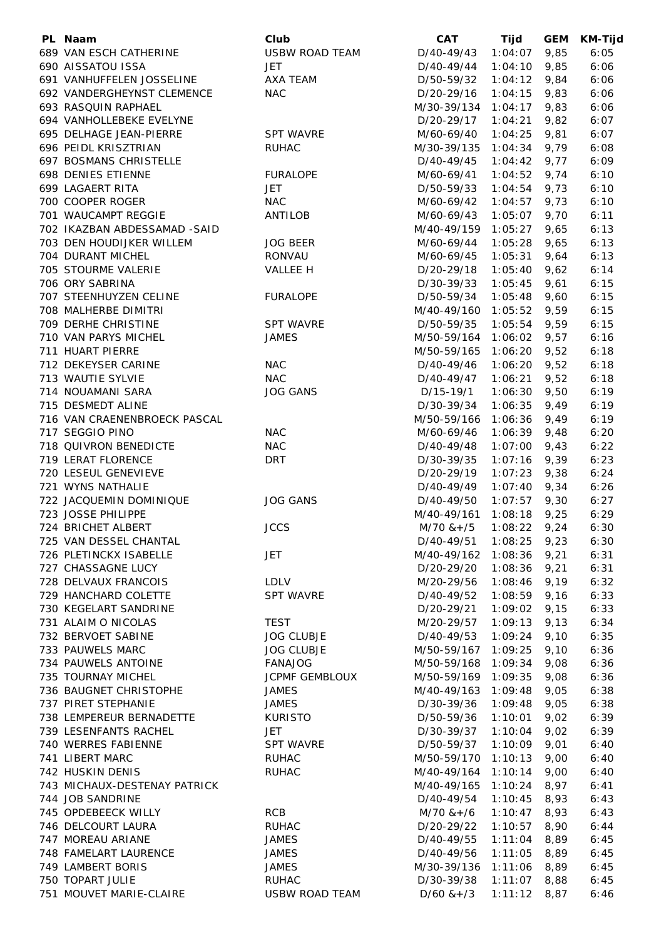| PL Naam                                    | Club                                | CAT                        | Tijd               | <b>GEM</b>   | <b>KM-Tijd</b> |
|--------------------------------------------|-------------------------------------|----------------------------|--------------------|--------------|----------------|
| 689 VAN ESCH CATHERINE                     | <b>USBW ROAD TEAM</b>               | D/40-49/43                 | 1:04:07            | 9,85         | 6:05           |
| 690 AISSATOU ISSA                          | <b>JET</b>                          | D/40-49/44                 | 1:04:10            | 9,85         | 6:06           |
| 691 VANHUFFELEN JOSSELINE                  | AXA TEAM                            | D/50-59/32                 | 1:04:12            | 9,84         | 6:06           |
| 692 VANDERGHEYNST CLEMENCE                 | <b>NAC</b>                          | D/20-29/16                 | 1:04:15            | 9,83         | 6:06           |
| 693 RASQUIN RAPHAEL                        |                                     | M/30-39/134                | 1:04:17            | 9,83         | 6:06           |
| 694 VANHOLLEBEKE EVELYNE                   |                                     | D/20-29/17                 | 1:04:21            | 9,82         | 6:07           |
| 695 DELHAGE JEAN-PIERRE                    | <b>SPT WAVRE</b>                    | M/60-69/40                 | 1:04:25            | 9,81         | 6:07           |
| 696 PEIDL KRISZTRIAN                       | <b>RUHAC</b>                        | M/30-39/135                | $1:04:34$ 9,79     |              | 6:08           |
| 697 BOSMANS CHRISTELLE                     |                                     | D/40-49/45                 | $1:04:42$ 9,77     |              | 6:09           |
| 698 DENIES ETIENNE                         | <b>FURALOPE</b>                     | M/60-69/41                 | $1:04:52$ 9,74     |              | 6:10           |
| 699 LAGAERT RITA                           | JET                                 | D/50-59/33                 | $1:04:54$ 9,73     |              | 6:10           |
| 700 COOPER ROGER                           | <b>NAC</b>                          | M/60-69/42                 | $1:04:57$ 9,73     |              | 6:10           |
| 701 WAUCAMPT REGGIE                        | ANTILOB                             | M/60-69/43                 | $1:05:07$ 9,70     |              | 6:11           |
| 702 IKAZBAN ABDESSAMAD -SAID               |                                     | M/40-49/159                | $1:05:27$ 9,65     |              | 6:13           |
| 703 DEN HOUDIJKER WILLEM                   | <b>JOG BEER</b>                     | M/60-69/44                 | $1:05:28$ 9,65     |              | 6:13           |
| 704 DURANT MICHEL                          | RONVAU                              | M/60-69/45                 | 1:05:31            | 9,64         | 6:13           |
| 705 STOURME VALERIE                        | VALLEE H                            | D/20-29/18                 | $1:05:40$ 9,62     |              | 6:14           |
| 706 ORY SABRINA                            |                                     | D/30-39/33                 | 1:05:45            | 9,61         | 6:15           |
| 707 STEENHUYZEN CELINE                     | <b>FURALOPE</b>                     | D/50-59/34                 | $1:05:48$ 9,60     |              | 6:15           |
| 708 MALHERBE DIMITRI                       |                                     | M/40-49/160                | $1:05:52$ 9,59     |              | 6:15           |
| 709 DERHE CHRISTINE                        | <b>SPT WAVRE</b>                    | D/50-59/35                 | $1:05:54$ 9,59     |              | 6:15           |
| 710 VAN PARYS MICHEL                       | <b>JAMES</b>                        | M/50-59/164                | $1:06:02$ 9,57     |              | 6:16           |
| 711 HUART PIERRE                           |                                     | M/50-59/165                | $1:06:20$ 9,52     |              | 6:18           |
| 712 DEKEYSER CARINE                        | <b>NAC</b>                          | D/40-49/46                 | $1:06:20$ 9,52     |              | 6:18           |
| 713 WAUTIE SYLVIE                          | <b>NAC</b>                          | D/40-49/47                 | $1:06:21$ 9,52     |              | 6:18           |
| 714 NOUAMANI SARA                          | <b>JOG GANS</b>                     | D/15-19/1                  | $1:06:30$ 9,50     |              | 6:19           |
| 715 DESMEDT ALINE                          |                                     | D/30-39/34                 | 1:06:35            | 9,49         | 6:19           |
| 716 VAN CRAENENBROECK PASCAL               |                                     | M/50-59/166                | $1:06:36$ 9,49     |              | 6:19           |
| 717 SEGGIO PINO                            | <b>NAC</b>                          | M/60-69/46                 | $1:06:39$ 9,48     |              | 6:20           |
| 718 QUIVRON BENEDICTE                      | <b>NAC</b>                          | D/40-49/48                 | 1:07:00            | 9,43         | 6:22           |
| 719 LERAT FLORENCE                         | <b>DRT</b>                          | D/30-39/35                 | 1:07:16            | 9,39         | 6:23           |
| 720 LESEUL GENEVIEVE                       |                                     | D/20-29/19                 | 1:07:23            | 9,38         | 6:24           |
| 721 WYNS NATHALIE                          |                                     | D/40-49/49                 | 1:07:40            | 9,34         | 6:26           |
| 722 JACQUEMIN DOMINIQUE                    | <b>JOG GANS</b>                     | D/40-49/50                 | 1:07:57            | 9,30         | 6:27           |
| 723 JOSSE PHILIPPE                         |                                     | M/40-49/161                | 1:08:18            | 9,25         | 6:29           |
| 724 BRICHET ALBERT                         | <b>JCCS</b>                         | $M/70$ & + /5              | 1:08:22            | 9,24         | 6:30           |
| 725 VAN DESSEL CHANTAL                     |                                     | D/40-49/51                 | 1:08:25            | 9,23         | 6:30           |
| 726 PLETINCKX ISABELLE                     | <b>JET</b>                          | M/40-49/162                | 1:08:36            | 9,21         | 6:31           |
| 727 CHASSAGNE LUCY<br>728 DELVAUX FRANCOIS |                                     | D/20-29/20                 | 1:08:36            | 9,21         | 6:31           |
|                                            | <b>LDLV</b>                         | M/20-29/56                 | 1:08:46            | 9,19         | 6:32           |
| 729 HANCHARD COLETTE                       | <b>SPT WAVRE</b>                    | D/40-49/52<br>D/20-29/21   | 1:08:59            | 9,16         | 6:33           |
| 730 KEGELART SANDRINE                      |                                     |                            | 1:09:02            | 9,15         | 6:33           |
| 731 ALAIM O NICOLAS                        | <b>TEST</b>                         | M/20-29/57                 | 1:09:13            | 9,13         | 6:34           |
| 732 BERVOET SABINE<br>733 PAUWELS MARC     | <b>JOG CLUBJE</b>                   | D/40-49/53                 | 1:09:24            | 9,10         | 6:35           |
| 734 PAUWELS ANTOINE                        | <b>JOG CLUBJE</b><br><b>FANAJOG</b> | M/50-59/167                | 1:09:25<br>1:09:34 | 9,10         | 6:36<br>6:36   |
| 735 TOURNAY MICHEL                         | <b>JCPMF GEMBLOUX</b>               | M/50-59/168<br>M/50-59/169 | 1:09:35            | 9,08         |                |
| 736 BAUGNET CHRISTOPHE                     | <b>JAMES</b>                        |                            |                    | 9,08         | 6:36           |
| 737 PIRET STEPHANIE                        |                                     | M/40-49/163                | 1:09:48<br>1:09:48 | 9,05         | 6:38           |
| 738 LEMPEREUR BERNADETTE                   | <b>JAMES</b><br><b>KURISTO</b>      | D/30-39/36<br>D/50-59/36   | 1:10:01            | 9,05<br>9,02 | 6:38<br>6:39   |
| 739 LESENFANTS RACHEL                      | JET                                 | D/30-39/37                 | 1:10:04            | 9,02         | 6:39           |
| 740 WERRES FABIENNE                        | <b>SPT WAVRE</b>                    | D/50-59/37                 | 1:10:09            | 9,01         | 6:40           |
| 741 LIBERT MARC                            | <b>RUHAC</b>                        | M/50-59/170                | 1:10:13            | 9,00         | 6:40           |
| 742 HUSKIN DENIS                           | <b>RUHAC</b>                        | M/40-49/164                | 1:10:14            | 9,00         | 6:40           |
| 743 MICHAUX-DESTENAY PATRICK               |                                     | M/40-49/165                | 1:10:24            | 8,97         | 6:41           |
| 744 JOB SANDRINE                           |                                     | D/40-49/54                 | 1:10:45            | 8,93         | 6:43           |
| 745 OPDEBEECK WILLY                        | <b>RCB</b>                          | $M/70$ & +/6               | 1:10:47            | 8,93         | 6:43           |
| 746 DELCOURT LAURA                         | <b>RUHAC</b>                        | D/20-29/22                 | 1:10:57            | 8,90         | 6:44           |
| 747 MOREAU ARIANE                          | <b>JAMES</b>                        | D/40-49/55                 | 1:11:04            | 8,89         | 6:45           |
| 748 FAMELART LAURENCE                      | <b>JAMES</b>                        | D/40-49/56                 | 1:11:05            | 8,89         | 6:45           |
| 749 LAMBERT BORIS                          | <b>JAMES</b>                        | M/30-39/136                | 1:11:06            | 8,89         | 6:45           |
| 750 TOPART JULIE                           | <b>RUHAC</b>                        | D/30-39/38                 | 1:11:07            | 8,88         | 6:45           |
| 751 MOUVET MARIE-CLAIRE                    | <b>USBW ROAD TEAM</b>               | $D/60$ & + $/3$            | 1:11:12            | 8,87         | 6:46           |
|                                            |                                     |                            |                    |              |                |